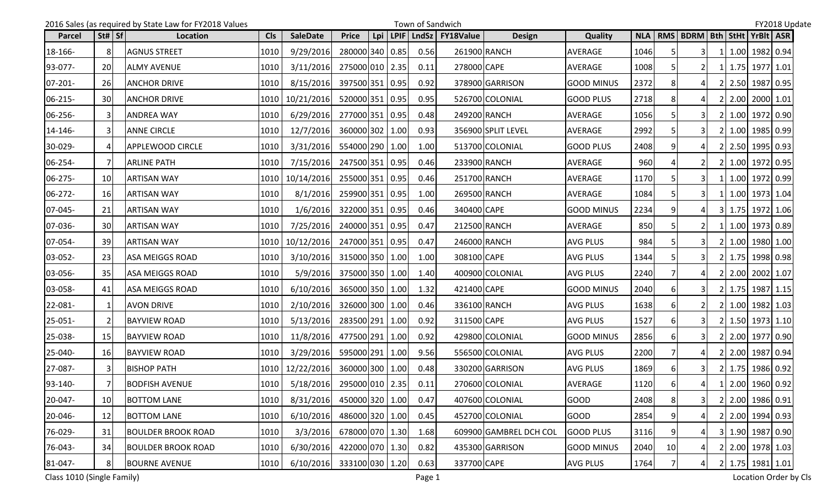|               |                                | 2016 Sales (as required by State Law for FY2018 Values |            |                 |                 |     |      | Town of Sandwich |                  |                        |                   |            |                |                                       |  |                        | FY2018 Update |
|---------------|--------------------------------|--------------------------------------------------------|------------|-----------------|-----------------|-----|------|------------------|------------------|------------------------|-------------------|------------|----------------|---------------------------------------|--|------------------------|---------------|
| <b>Parcel</b> | $\left  \text{St#} \right $ Sf | Location                                               | <b>CIs</b> | <b>SaleDate</b> | <b>Price</b>    | Lpi | LPIF | LndSz            | <b>FY18Value</b> | <b>Design</b>          | <b>Quality</b>    | <b>NLA</b> |                | RMS   BDRM   Bth   StHt   YrBIt   ASR |  |                        |               |
| 18-166-       | 8                              | <b>AGNUS STREET</b>                                    | 1010       | 9/29/2016       | 280000 340 0.85 |     |      | 0.56             |                  | 261900 RANCH           | AVERAGE           | 1046       |                | 31                                    |  | 1.00 1982 0.94         |               |
| 93-077-       | <b>20</b>                      | <b>ALMY AVENUE</b>                                     | 1010       | 3/11/2016       | 275000 010 2.35 |     |      | 0.11             | 278000 CAPE      |                        | AVERAGE           | 1008       |                |                                       |  | 1 1.75 1977 1.01       |               |
| $07 - 201 -$  | <b>26</b>                      | <b>ANCHOR DRIVE</b>                                    | 1010       | 8/15/2016       | 397500 351 0.95 |     |      | 0.92             |                  | 378900 GARRISON        | <b>GOOD MINUS</b> | 2372       |                | 41                                    |  | 2 2.50 1987 0.95       |               |
| 06-215-       | 30 <sup>l</sup>                | <b>ANCHOR DRIVE</b>                                    | 1010       | 10/21/2016      | 520000 351 0.95 |     |      | 0.95             |                  | 526700 COLONIAL        | <b>GOOD PLUS</b>  | 2718       |                | 41                                    |  | 2 2.00 2000 1.01       |               |
| 06-256-       | $\mathbf{3}$                   | <b>ANDREA WAY</b>                                      | 1010       | 6/29/2016       | 277000 351 0.95 |     |      | 0.48             |                  | 249200 RANCH           | AVERAGE           | 1056       |                | 3I                                    |  | 2 1.00 1972 0.90       |               |
| 14-146-       | 3                              | <b>ANNE CIRCLE</b>                                     | 1010       | 12/7/2016       | 360000 302 1.00 |     |      | 0.93             |                  | 356900 SPLIT LEVEL     | AVERAGE           | 2992       |                | 31                                    |  | 2 1.00 1985 0.99       |               |
| 30-029-       | 4                              | <b>APPLEWOOD CIRCLE</b>                                | 1010       | 3/31/2016       | 554000 290 1.00 |     |      | 1.00             |                  | 513700 COLONIAL        | <b>GOOD PLUS</b>  | 2408       |                |                                       |  | 2 2.50 1995 0.93       |               |
| 06-254-       | 7                              | <b>ARLINE PATH</b>                                     | 1010       | 7/15/2016       | 247500 351 0.95 |     |      | 0.46             |                  | 233900 RANCH           | AVERAGE           | 960        |                | 21                                    |  | 2 1.00 1972 0.95       |               |
| 06-275-       | <b>10</b>                      | <b>ARTISAN WAY</b>                                     | 1010       | 10/14/2016      | 255000 351 0.95 |     |      | 0.46             |                  | 251700 RANCH           | AVERAGE           | 1170       |                | 31                                    |  | 1 1.00 1972 0.99       |               |
| 06-272-       | 16                             | <b>ARTISAN WAY</b>                                     | 1010       | 8/1/2016        | 259900 351 0.95 |     |      | 1.00             | 269500 RANCH     |                        | AVERAGE           | 1084       |                | 31                                    |  | 1 1.00 1973 1.04       |               |
| 07-045-       | 21                             | <b>ARTISAN WAY</b>                                     | 1010       | 1/6/2016        | 322000 351 0.95 |     |      | 0.46             | 340400 CAPE      |                        | <b>GOOD MINUS</b> | 2234       |                | 41                                    |  | 3 1.75 1972 1.06       |               |
| 07-036-       | 30 <sup>l</sup>                | <b>ARTISAN WAY</b>                                     | 1010       | 7/25/2016       | 240000 351 0.95 |     |      | 0.47             | 212500 RANCH     |                        | AVERAGE           | 850        |                |                                       |  | 1   1.00   1973   0.89 |               |
| 07-054-       | 39                             | <b>ARTISAN WAY</b>                                     | 1010       | 10/12/2016      | 247000 351 0.95 |     |      | 0.47             | 246000 RANCH     |                        | <b>AVG PLUS</b>   | 984        |                |                                       |  | 2 1.00 1980 1.00       |               |
| 03-052-       | 23                             | <b>ASA MEIGGS ROAD</b>                                 | 1010       | 3/10/2016       | 315000 350 1.00 |     |      | 1.00             | 308100 CAPE      |                        | <b>AVG PLUS</b>   | 1344       |                | 3I                                    |  | 2 1.75 1998 0.98       |               |
| 03-056-       | 35                             | <b>ASA MEIGGS ROAD</b>                                 | 1010       | 5/9/2016        | 375000 350 1.00 |     |      | 1.40             |                  | 400900 COLONIAL        | <b>AVG PLUS</b>   | 2240       |                | 41                                    |  | 2 2.00 2002 1.07       |               |
| 03-058-       | 41                             | <b>ASA MEIGGS ROAD</b>                                 | 1010       | 6/10/2016       | 365000 350 1.00 |     |      | 1.32             | 421400 CAPE      |                        | <b>GOOD MINUS</b> | 2040       | 61             | 3I                                    |  | 2 1.75 1987 1.15       |               |
| 22-081-       | 1                              | <b>AVON DRIVE</b>                                      | 1010       | 2/10/2016       | 326000 300 1.00 |     |      | 0.46             | 336100 RANCH     |                        | <b>AVG PLUS</b>   | 1638       | 61             |                                       |  | 2 1.00 1982 1.03       |               |
| 25-051-       | $\overline{2}$                 | <b>BAYVIEW ROAD</b>                                    | 1010       | 5/13/2016       | 283500 291 1.00 |     |      | 0.92             | 311500 CAPE      |                        | <b>AVG PLUS</b>   | 1527       |                | 31                                    |  | 2 1.50 1973 1.10       |               |
| 25-038-       | 15                             | <b>BAYVIEW ROAD</b>                                    | 1010       | 11/8/2016       | 477500 291 1.00 |     |      | 0.92             |                  | 429800 COLONIAL        | <b>GOOD MINUS</b> | 2856       | 61             | 31                                    |  | 2 2.00 1977 0.90       |               |
| 25-040-       | 16                             | <b>BAYVIEW ROAD</b>                                    | 1010       | 3/29/2016       | 595000 291 1.00 |     |      | 9.56             |                  | 556500 COLONIAL        | <b>AVG PLUS</b>   | 2200       |                |                                       |  | 2 2.00 1987 0.94       |               |
| 27-087-       | $\overline{3}$                 | <b>BISHOP PATH</b>                                     | 1010       | 12/22/2016      | 360000 300 1.00 |     |      | 0.48             |                  | 330200 GARRISON        | <b>AVG PLUS</b>   | 1869       |                | 31                                    |  | 2 1.75 1986 0.92       |               |
| 93-140-       | 7 <sup>1</sup>                 | <b>BODFISH AVENUE</b>                                  |            | 1010 5/18/2016  | 295000 010 2.35 |     |      | 0.11             |                  | 270600 COLONIAL        | AVERAGE           | 1120       | 6              | 4                                     |  | 1 2.00 1960 0.92       |               |
| 20-047-       | 10 <sup>1</sup>                | <b>BOTTOM LANE</b>                                     | 1010       | 8/31/2016       | 450000 320 1.00 |     |      | 0.47             |                  | 407600 COLONIAL        | GOOD              | 2408       | 8 <sup>1</sup> | 3 <sup>1</sup>                        |  | 2 2.00 1986 0.91       |               |
| 20-046-       | 12                             | <b>BOTTOM LANE</b>                                     | 1010       | 6/10/2016       | 486000 320 1.00 |     |      | 0.45             |                  | 452700 COLONIAL        | GOOD              | 2854       |                |                                       |  | 2 2.00 1994 0.93       |               |
| 76-029-       | 31                             | <b>BOULDER BROOK ROAD</b>                              | 1010       | 3/3/2016        | 678000 070 1.30 |     |      | 1.68             |                  | 609900 GAMBREL DCH COL | <b>GOOD PLUS</b>  | 3116       |                |                                       |  | 3 1.90 1987 0.90       |               |
| 76-043-       | 34                             | <b>BOULDER BROOK ROAD</b>                              | 1010       | 6/30/2016       | 422000 070 1.30 |     |      | 0.82             |                  | 435300 GARRISON        | <b>GOOD MINUS</b> | 2040       | 10             | 41                                    |  | 2 2.00 1978 1.03       |               |
| 81-047-       | 8 <sup>1</sup>                 | <b>BOURNE AVENUE</b>                                   | 1010       | 6/10/2016       | 333100 030 1.20 |     |      | 0.63             | 337700 CAPE      |                        | <b>AVG PLUS</b>   | 1764       |                | 4                                     |  | 2 1.75 1981 1.01       |               |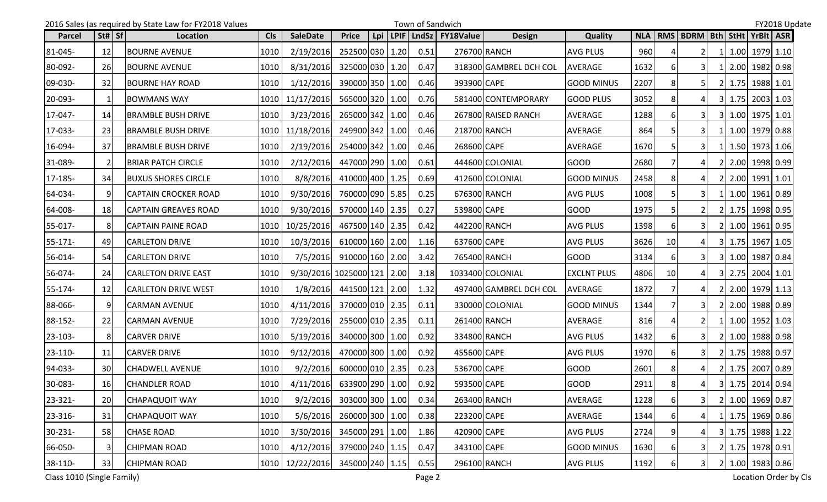|               |                                | 2016 Sales (as required by State Law for FY2018 Values |            |                                         |                 |     | Town of Sandwich |                          |                        |                    |      |    |                               |           |                  | FY2018 Update |
|---------------|--------------------------------|--------------------------------------------------------|------------|-----------------------------------------|-----------------|-----|------------------|--------------------------|------------------------|--------------------|------|----|-------------------------------|-----------|------------------|---------------|
| <b>Parcel</b> | $\vert$ St# $\vert$ Sf $\vert$ | Location                                               | <b>Cls</b> | <b>SaleDate</b>                         | <b>Price</b>    | Lpi |                  | LPIF   LndSz   FY18Value | <b>Design</b>          | <b>Quality</b>     |      |    | NLA   RMS   BDRM   Bth   StHt |           | YrBlt ASR        |               |
| 81-045-       | 12                             | <b>BOURNE AVENUE</b>                                   | 1010       | 2/19/2016                               | 252500 030 1.20 |     | 0.51             |                          | 276700 RANCH           | <b>AVG PLUS</b>    | 960  |    | $\overline{2}$                | 1I        | $1.00$ 1979 1.10 |               |
| 80-092-       | 26                             | <b>BOURNE AVENUE</b>                                   | 1010       | 8/31/2016                               | 325000 030 1.20 |     | 0.47             |                          | 318300 GAMBREL DCH COL | AVERAGE            | 1632 |    | 31                            |           | 2.00 1982 0.98   |               |
| 09-030-       | 32                             | <b>BOURNE HAY ROAD</b>                                 | 1010       | 1/12/2016                               | 390000 350 1.00 |     | 0.46             | 393900 CAPE              |                        | <b>GOOD MINUS</b>  | 2207 |    | 5 I                           |           | 2 1.75 1988 1.01 |               |
| 20-093-       | $\mathbf{1}$                   | <b>BOWMANS WAY</b>                                     |            | 1010   11/17/2016                       | 565000 320 1.00 |     | 0.76             |                          | 581400 CONTEMPORARY    | GOOD PLUS          | 3052 |    |                               |           | 3 1.75 2003 1.03 |               |
| 17-047-       | 14                             | <b>BRAMBLE BUSH DRIVE</b>                              | 1010       | 3/23/2016                               | 265000 342 1.00 |     | 0.46             |                          | 267800 RAISED RANCH    | AVERAGE            | 1288 |    | 31                            |           | 3 1.00 1975 1.01 |               |
| 17-033-       | 23                             | <b>BRAMBLE BUSH DRIVE</b>                              |            | 1010 11/18/2016                         | 249900 342 1.00 |     | 0.46             |                          | 218700 RANCH           | <b>AVERAGE</b>     | 864  |    |                               |           | 1 1.00 1979 0.88 |               |
| 16-094-       | 37                             | <b>BRAMBLE BUSH DRIVE</b>                              | 1010       | 2/19/2016                               | 254000 342 1.00 |     | 0.46             | 268600 CAPE              |                        | AVERAGE            | 1670 |    | 31                            |           | 1 1.50 1973 1.06 |               |
| 31-089-       | 2                              | <b>BRIAR PATCH CIRCLE</b>                              | 1010       | 2/12/2016                               | 447000 290 1.00 |     | 0.61             |                          | 444600 COLONIAL        | <b>GOOD</b>        | 2680 |    | 4                             |           | 2 2.00 1998 0.99 |               |
| 17-185-       | 34                             | <b>BUXUS SHORES CIRCLE</b>                             | 1010       | 8/8/2016                                | 410000 400 1.25 |     | 0.69             |                          | 412600 COLONIAL        | <b>GOOD MINUS</b>  | 2458 |    | 4                             |           | 2 2.00 1991 1.01 |               |
| 64-034-       | q                              | <b>CAPTAIN CROCKER ROAD</b>                            | 1010       | 9/30/2016                               | 760000 090 5.85 |     | 0.25             |                          | 676300 RANCH           | <b>AVG PLUS</b>    | 1008 |    | 3 <sup>l</sup>                |           | 1 1.00 1961 0.89 |               |
| 64-008-       | 18                             | <b>CAPTAIN GREAVES ROAD</b>                            | 1010       | 9/30/2016                               | 570000 140 2.35 |     | 0.27             | 539800 CAPE              |                        | <b>GOOD</b>        | 1975 |    |                               | <b>21</b> | 1.75 1998 0.95   |               |
| 55-017-       | 8                              | CAPTAIN PAINE ROAD                                     | 1010       | 10/25/2016                              | 467500 140 2.35 |     | 0.42             |                          | 442200 RANCH           | <b>AVG PLUS</b>    | 1398 |    |                               |           | 2 1.00 1961 0.95 |               |
| 55-171-       | 49                             | <b>CARLETON DRIVE</b>                                  | 1010       | 10/3/2016                               | 610000 160 2.00 |     | 1.16             | 637600 CAPE              |                        | <b>AVG PLUS</b>    | 3626 | 10 |                               |           | 3 1.75 1967 1.05 |               |
| 56-014-       | 54                             | <b>CARLETON DRIVE</b>                                  | 1010       | 7/5/2016                                | 910000 160 2.00 |     | 3.42             |                          | 765400 RANCH           | <b>GOOD</b>        | 3134 | 6  | 31                            |           | 3 1.00 1987 0.84 |               |
| 56-074-       | 24                             | <b>CARLETON DRIVE EAST</b>                             | 1010       | 9/30/2016 1025000 121 2.00              |                 |     | 3.18             |                          | 1033400 COLONIAL       | <b>EXCLNT PLUS</b> | 4806 | 10 |                               |           | 3 2.75 2004 1.01 |               |
| 55-174-       | 12                             | <b>CARLETON DRIVE WEST</b>                             | 1010       | 1/8/2016                                | 441500 121 2.00 |     | 1.32             |                          | 497400 GAMBREL DCH COL | <b>AVERAGE</b>     | 1872 |    |                               |           | 2 2.00 1979 1.13 |               |
| 88-066-       | 9                              | <b>CARMAN AVENUE</b>                                   | 1010       | 4/11/2016                               | 370000 010 2.35 |     | 0.11             |                          | 330000 COLONIAL        | <b>GOOD MINUS</b>  | 1344 |    |                               |           | 2 2.00 1988 0.89 |               |
| 88-152-       | 22                             | <b>CARMAN AVENUE</b>                                   | 1010       | 7/29/2016                               | 255000 010 2.35 |     | 0.11             |                          | 261400 RANCH           | AVERAGE            | 816  |    |                               |           | 1 1.00 1952 1.03 |               |
| 23-103-       | 8                              | <b>CARVER DRIVE</b>                                    | 1010       | 5/19/2016                               | 340000 300 1.00 |     | 0.92             |                          | 334800 RANCH           | <b>AVG PLUS</b>    | 1432 | 6  | 31                            |           | 2 1.00 1988 0.98 |               |
| 23-110-       | 11                             | <b>CARVER DRIVE</b>                                    | 1010       | 9/12/2016                               | 470000 300 1.00 |     | 0.92             | 455600 CAPE              |                        | <b>AVG PLUS</b>    | 1970 | 6  | 31                            | <b>21</b> | 1.75 1988 0.97   |               |
| 94-033-       | 30                             | <b>CHADWELL AVENUE</b>                                 | 1010       | 9/2/2016                                | 600000 010 2.35 |     | 0.23             | 536700 CAPE              |                        | <b>GOOD</b>        | 2601 |    |                               |           | 2 1.75 2007 0.89 |               |
| 30-083-       | 16                             | <b>CHANDLER ROAD</b>                                   | 1010       | 4/11/2016 633900 290 1.00               |                 |     | 0.92             | 593500 CAPE              |                        | <b>GOOD</b>        | 2911 |    | 4 <sup>1</sup>                |           | 3 1.75 2014 0.94 |               |
| 23-321-       | 20                             | <b>CHAPAQUOIT WAY</b>                                  | 1010       | 9/2/2016                                | 303000 300 1.00 |     | 0.34             |                          | 263400 RANCH           | AVERAGE            | 1228 | 6  | 31                            |           | 2 1.00 1969 0.87 |               |
| 23-316-       | 31                             | <b>CHAPAQUOIT WAY</b>                                  | 1010       | 5/6/2016                                | 260000 300 1.00 |     | 0.38             | 223200 CAPE              |                        | AVERAGE            | 1344 | 61 | 4I                            |           | 1 1.75 1969 0.86 |               |
| 30-231-       | 58                             | <b>CHASE ROAD</b>                                      | 1010       | 3/30/2016                               | 345000 291 1.00 |     | 1.86             | 420900 CAPE              |                        | AVG PLUS           | 2724 |    |                               |           | 3 1.75 1988 1.22 |               |
| 66-050-       | 3                              | <b>CHIPMAN ROAD</b>                                    | 1010       | 4/12/2016                               | 379000 240 1.15 |     | 0.47             | 343100 CAPE              |                        | <b>GOOD MINUS</b>  | 1630 | 6  |                               |           | 2 1.75 1978 0.91 |               |
| 38-110-       | 33                             | <b>CHIPMAN ROAD</b>                                    |            | 1010   12/22/2016   345000   240   1.15 |                 |     | 0.55             |                          | 296100 RANCH           | <b>AVG PLUS</b>    | 1192 | 6  | 31                            |           | 2 1.00 1983 0.86 |               |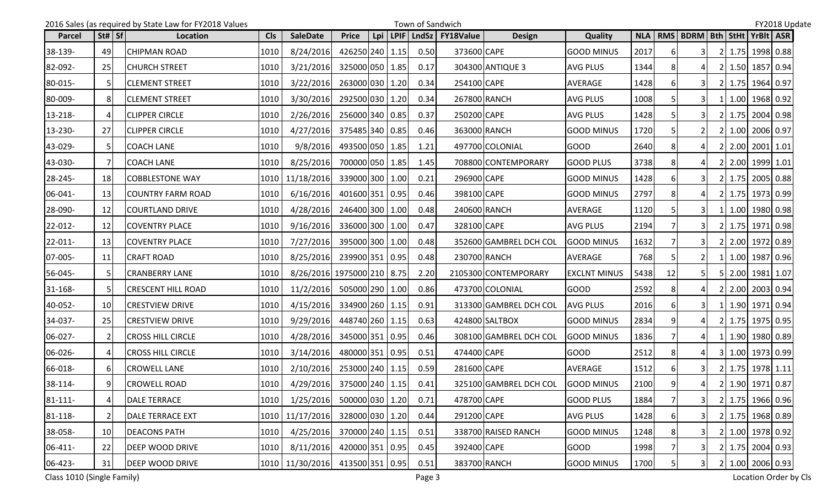|              |                 | 2016 Sales (as required by State Law for FY2018 Values |            |                                                                                                         |                 |     | Town of Sandwich |                  |                        |                     |      |          |                               |    |                  | FY2018 Update |
|--------------|-----------------|--------------------------------------------------------|------------|---------------------------------------------------------------------------------------------------------|-----------------|-----|------------------|------------------|------------------------|---------------------|------|----------|-------------------------------|----|------------------|---------------|
| Parcel       | St#   Sf        | Location                                               | <b>CIs</b> | <b>SaleDate</b>                                                                                         | <b>Price</b>    | Lpi | LPIF LndSz       | <b>FY18Value</b> | <b>Design</b>          | <b>Quality</b>      |      |          | NLA   RMS   BDRM   Bth   StHt |    | YrBlt ASR        |               |
| 38-139-      | 49              | <b>CHIPMAN ROAD</b>                                    | 1010       | 8/24/2016                                                                                               | 426250 240 1.15 |     | 0.50             | 373600 CAPE      |                        | <b>GOOD MINUS</b>   | 2017 | 61       | 31                            | 2I | 1.75 1998 0.88   |               |
| 82-092-      | 25              | <b>CHURCH STREET</b>                                   | 1010       | 3/21/2016                                                                                               | 325000 050 1.85 |     | 0.17             |                  | 304300 ANTIQUE 3       | AVG PLUS            | 1344 |          |                               |    | 2 1.50 1857 0.94 |               |
| 80-015-      | 5               | <b>CLEMENT STREET</b>                                  | 1010       | 3/22/2016                                                                                               | 263000 030 1.20 |     | 0.34             | 254100 CAPE      |                        | AVERAGE             | 1428 | 61       | 3I                            |    | 2 1.75 1964 0.97 |               |
| 80-009-      | 8               | <b>CLEMENT STREET</b>                                  | 1010       | 3/30/2016                                                                                               | 292500 030 1.20 |     | 0.34             | 267800 RANCH     |                        | <b>AVG PLUS</b>     | 1008 |          |                               |    | 1.00 1968 0.92   |               |
| 13-218-      | 4               | <b>CLIPPER CIRCLE</b>                                  | 1010       | 2/26/2016                                                                                               | 256000 340 0.85 |     | 0.37             | 250200 CAPE      |                        | <b>AVG PLUS</b>     | 1428 |          |                               |    | 2 1.75 2004 0.98 |               |
| 13-230-      | 27              | <b>CLIPPER CIRCLE</b>                                  | 1010       | 4/27/2016                                                                                               | 375485 340 0.85 |     | 0.46             | 363000 RANCH     |                        | <b>GOOD MINUS</b>   | 1720 |          |                               | 21 | 1.00 2006 0.97   |               |
| 43-029-      | 5               | <b>COACH LANE</b>                                      | 1010       | 9/8/2016                                                                                                | 493500 050 1.85 |     | 1.21             |                  | 497700 COLONIAL        | <b>GOOD</b>         | 2640 |          |                               |    | 2 2.00 2001 1.01 |               |
| 43-030-      | 7               | <b>COACH LANE</b>                                      | 1010       | 8/25/2016                                                                                               | 700000 050 1.85 |     | 1.45             |                  | 708800 CONTEMPORARY    | <b>GOOD PLUS</b>    | 3738 |          | $\Delta$                      |    | 2 2.00 1999 1.01 |               |
| 28-245-      | <b>18</b>       | <b>COBBLESTONE WAY</b>                                 | 1010       | 11/18/2016                                                                                              | 339000 300 1.00 |     | 0.21             | 296900 CAPE      |                        | <b>GOOD MINUS</b>   | 1428 |          | 3I                            |    | 2 1.75 2005 0.88 |               |
| 06-041-      | 13              | <b>COUNTRY FARM ROAD</b>                               | 1010       | 6/16/2016                                                                                               | 401600 351 0.95 |     | 0.46             | 398100 CAPE      |                        | <b>GOOD MINUS</b>   | 2797 | 8        |                               |    | 2 1.75 1973 0.99 |               |
| 28-090-      | 12              | <b>COURTLAND DRIVE</b>                                 | 1010       | 4/28/2016                                                                                               | 246400 300 1.00 |     | 0.48             | 240600 RANCH     |                        | AVERAGE             | 1120 |          | 3I                            |    | 1 1.00 1980 0.98 |               |
| 22-012-      | 12              | <b>COVENTRY PLACE</b>                                  | 1010       | 9/16/2016                                                                                               | 336000 300 1.00 |     | 0.47             | 328100 CAPE      |                        | <b>AVG PLUS</b>     | 2194 |          |                               |    | 2 1.75 1971 0.98 |               |
| $22 - 011 -$ | 13              | <b>COVENTRY PLACE</b>                                  | 1010       | 7/27/2016                                                                                               | 395000 300 1.00 |     | 0.48             |                  | 352600 GAMBREL DCH COL | <b>GOOD MINUS</b>   | 1632 |          |                               |    | 2 2.00 1972 0.89 |               |
| 07-005-      | 11              | <b>CRAFT ROAD</b>                                      | 1010       | 8/25/2016                                                                                               | 239900 351 0.95 |     | 0.48             |                  | 230700 RANCH           | AVERAGE             | 768  |          | $\overline{2}$                |    | 1 1.00 1987 0.96 |               |
| 56-045-      | 5               | <b>CRANBERRY LANE</b>                                  | 1010       | 8/26/2016 1975000 210 8.75                                                                              |                 |     | 2.20             |                  | 2105300 CONTEMPORARY   | <b>EXCLNT MINUS</b> | 5438 | 12       |                               |    | 5 2.00 1981 1.07 |               |
| 31-168-      | 5               | <b>CRESCENT HILL ROAD</b>                              | 1010       | 11/2/2016                                                                                               | 505000 290 1.00 |     | 0.86             |                  | 473700 COLONIAL        | <b>GOOD</b>         | 2592 |          | 41                            |    | 2 2.00 2003 0.94 |               |
| 40-052-      | 10 <sup>1</sup> | <b>CRESTVIEW DRIVE</b>                                 | 1010       | 4/15/2016                                                                                               | 334900 260 1.15 |     | 0.91             |                  | 313300 GAMBREL DCH COL | <b>AVG PLUS</b>     | 2016 | 6        |                               |    | 1 1.90 1971 0.94 |               |
| 34-037-      | 25              | <b>CRESTVIEW DRIVE</b>                                 | 1010       | 9/29/2016                                                                                               | 448740 260 1.15 |     | 0.63             |                  | 424800 SALTBOX         | <b>GOOD MINUS</b>   | 2834 | q        |                               |    | 2 1.75 1975 0.95 |               |
| 06-027-      | 2               | <b>CROSS HILL CIRCLE</b>                               | 1010       | 4/28/2016                                                                                               | 345000 351 0.95 |     | 0.46             |                  | 308100 GAMBREL DCH COL | <b>GOOD MINUS</b>   | 1836 |          | 41                            |    | 1 1.90 1980 0.89 |               |
| 06-026-      |                 | <b>CROSS HILL CIRCLE</b>                               | 1010       | 3/14/2016                                                                                               | 480000 351 0.95 |     | 0.51             | 474400 CAPE      |                        | <b>GOOD</b>         | 2512 |          |                               |    | 3 1.00 1973 0.99 |               |
| 66-018-      | 6               | <b>CROWELL LANE</b>                                    | 1010       | 2/10/2016                                                                                               | 253000 240 1.15 |     | 0.59             | 281600 CAPE      |                        | AVERAGE             | 1512 |          | 3I                            |    | 2 1.75 1978 1.11 |               |
| 38-114-      | ΩI              | <b>CROWELL ROAD</b>                                    |            | $\begin{array}{ c c c c c c c c c } \hline 1010 & 4/29/2016 & 375000 & 240 & 1.15 \ \hline \end{array}$ |                 |     | 0.41             |                  | 325100 GAMBREL DCH COL | <b>GOOD MINUS</b>   | 2100 | $\alpha$ | $\overline{4}$                |    | 2 1.90 1971 0.87 |               |
| $81 - 111 -$ | 4               | <b>DALE TERRACE</b>                                    | 1010       | 1/25/2016                                                                                               | 500000 030 1.20 |     | 0.71             | 478700 CAPE      |                        | <b>GOOD PLUS</b>    | 1884 |          | 3 <sup>1</sup>                |    | 2 1.75 1966 0.96 |               |
| 81-118-      | $\overline{2}$  | <b>DALE TERRACE EXT</b>                                | 1010       | 11/17/2016                                                                                              | 328000 030 1.20 |     | 0.44             | 291200 CAPE      |                        | <b>AVG PLUS</b>     | 1428 | 6        | 31                            |    | 2 1.75 1968 0.89 |               |
| 38-058-      | 10              | <b>DEACONS PATH</b>                                    | 1010       | 4/25/2016                                                                                               | 370000 240 1.15 |     | 0.51             |                  | 338700 RAISED RANCH    | <b>GOOD MINUS</b>   | 1248 |          | 31                            |    | 2 1.00 1978 0.92 |               |
| 06-411-      | 22              | <b>DEEP WOOD DRIVE</b>                                 | 1010       | 8/11/2016                                                                                               | 420000 351 0.95 |     | 0.45             | 392400 CAPE      |                        | <b>GOOD</b>         | 1998 |          |                               |    | 2 1.75 2004 0.93 |               |
| 06-423-      | 31              | <b>DEEP WOOD DRIVE</b>                                 |            | 1010   11/30/2016   413500   351   0.95                                                                 |                 |     | 0.51             |                  | 383700 RANCH           | <b>GOOD MINUS</b>   | 1700 |          | 31                            |    | 2 1.00 2006 0.93 |               |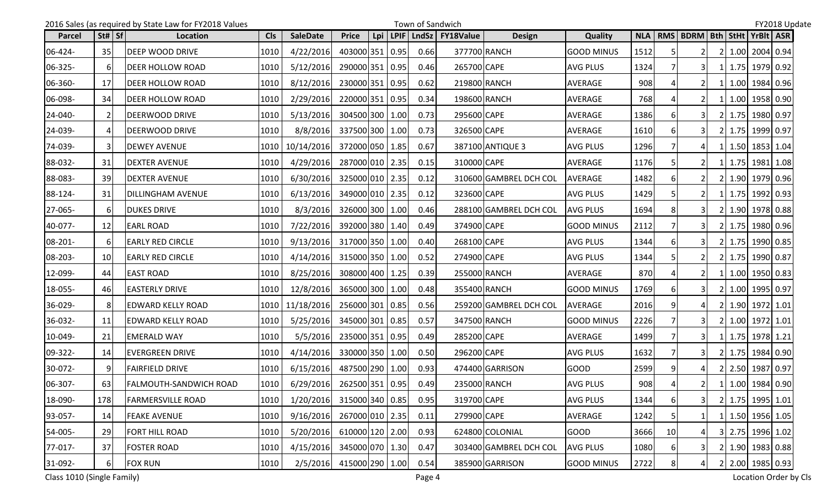|         |                 | 2016 Sales (as required by State Law for FY2018 Values |            |                           |                 |     | Town of Sandwich |                          |                        |                   |      |                 |                               |     |                  | FY2018 Update |  |
|---------|-----------------|--------------------------------------------------------|------------|---------------------------|-----------------|-----|------------------|--------------------------|------------------------|-------------------|------|-----------------|-------------------------------|-----|------------------|---------------|--|
| Parcel  | St#   Sf        | Location                                               | <b>Cls</b> | <b>SaleDate</b>           | <b>Price</b>    | Lpi |                  | LPIF   LndSz   FY18Value | <b>Design</b>          | <b>Quality</b>    |      |                 | NLA   RMS   BDRM   Bth   StHt |     | YrBlt ASR        |               |  |
| 06-424- | 35              | <b>DEEP WOOD DRIVE</b>                                 | 1010       | 4/22/2016                 | 403000 351 0.95 |     | 0.66             | 377700 RANCH             |                        | <b>GOOD MINUS</b> | 1512 |                 | $\overline{2}$                | 2I  | 1.00 2004 0.94   |               |  |
| 06-325- | 6               | <b>DEER HOLLOW ROAD</b>                                | 1010       | 5/12/2016                 | 290000 351 0.95 |     | 0.46             | 265700 CAPE              |                        | AVG PLUS          | 1324 |                 | 31                            | 1 I | 1.75 1979 0.92   |               |  |
| 06-360- | 17              | <b>DEER HOLLOW ROAD</b>                                | 1010       | 8/12/2016                 | 230000 351 0.95 |     | 0.62             | 219800 RANCH             |                        | <b>AVERAGE</b>    | 908  |                 | 2I                            |     | 1 1.00 1984 0.96 |               |  |
| 06-098- | 34              | <b>DEER HOLLOW ROAD</b>                                | 1010       | 2/29/2016                 | 220000 351 0.95 |     | 0.34             | 198600 RANCH             |                        | <b>AVERAGE</b>    | 768  |                 |                               |     | 1.00 1958 0.90   |               |  |
| 24-040- | 2               | <b>DEERWOOD DRIVE</b>                                  | 1010       | 5/13/2016                 | 304500 300 1.00 |     | 0.73             | 295600 CAPE              |                        | <b>AVERAGE</b>    | 1386 | 6               | $\overline{3}$                |     | 2 1.75 1980 0.97 |               |  |
| 24-039- | 4               | DEERWOOD DRIVE                                         | 1010       | 8/8/2016                  | 337500 300 1.00 |     | 0.73             | 326500 CAPE              |                        | <b>AVERAGE</b>    | 1610 |                 |                               | 21  | 1.75 1999 0.97   |               |  |
| 74-039- | 3               | <b>DEWEY AVENUE</b>                                    |            | 1010   10/14/2016         | 372000 050 1.85 |     | 0.67             |                          | 387100 ANTIQUE 3       | <b>AVG PLUS</b>   | 1296 |                 |                               |     | 1 1.50 1853 1.04 |               |  |
| 88-032- | 31              | <b>DEXTER AVENUE</b>                                   | 1010       | 4/29/2016                 | 287000 010 2.35 |     | 0.15             | 310000 CAPE              |                        | AVERAGE           | 1176 |                 |                               |     | 1 1.75 1981 1.08 |               |  |
| 88-083- | 39              | <b>DEXTER AVENUE</b>                                   | 1010       | 6/30/2016                 | 325000 010 2.35 |     | 0.12             |                          | 310600 GAMBREL DCH COL | <b>AVERAGE</b>    | 1482 |                 | <b>21</b>                     |     | 2 1.90 1979 0.96 |               |  |
| 88-124- | 31              | <b>DILLINGHAM AVENUE</b>                               | 1010       | 6/13/2016                 | 349000 010 2.35 |     | 0.12             | 323600 CAPE              |                        | <b>AVG PLUS</b>   | 1429 |                 |                               |     | 1 1.75 1992 0.93 |               |  |
| 27-065- | 6               | <b>DUKES DRIVE</b>                                     | 1010       | 8/3/2016                  | 326000 300 1.00 |     | 0.46             |                          | 288100 GAMBREL DCH COL | <b>AVG PLUS</b>   | 1694 |                 | 3I                            |     | 2 1.90 1978 0.88 |               |  |
| 40-077- | 12              | <b>EARL ROAD</b>                                       | 1010       | 7/22/2016                 | 392000 380 1.40 |     | 0.49             | 374900 CAPE              |                        | <b>GOOD MINUS</b> | 2112 |                 |                               |     | 2 1.75 1980 0.96 |               |  |
| 08-201- | 6               | <b>EARLY RED CIRCLE</b>                                | 1010       | 9/13/2016                 | 317000 350 1.00 |     | 0.40             | 268100 CAPE              |                        | <b>AVG PLUS</b>   | 1344 |                 |                               |     | 2 1.75 1990 0.85 |               |  |
| 08-203- | 10 <sup>1</sup> | <b>EARLY RED CIRCLE</b>                                | 1010       | 4/14/2016                 | 315000 350 1.00 |     | 0.52             | 274900 CAPE              |                        | <b>AVG PLUS</b>   | 1344 |                 |                               |     | 2 1.75 1990 0.87 |               |  |
| 12-099- | 44              | <b>EAST ROAD</b>                                       | 1010       | 8/25/2016                 | 308000 400 1.25 |     | 0.39             | 255000 RANCH             |                        | <b>AVERAGE</b>    | 870  |                 |                               |     | $1.00$ 1950 0.83 |               |  |
| 18-055- | 46              | <b>EASTERLY DRIVE</b>                                  | 1010       | 12/8/2016                 | 365000 300 1.00 |     | 0.48             | 355400 RANCH             |                        | <b>GOOD MINUS</b> | 1769 |                 | 3I                            |     | 2 1.00 1995 0.97 |               |  |
| 36-029- | 8               | <b>EDWARD KELLY ROAD</b>                               |            | 1010 11/18/2016           | 256000 301 0.85 |     | 0.56             |                          | 259200 GAMBREL DCH COL | AVERAGE           | 2016 |                 |                               |     | 2 1.90 1972 1.01 |               |  |
| 36-032- | 11              | <b>EDWARD KELLY ROAD</b>                               | 1010       | 5/25/2016                 | 345000 301 0.85 |     | 0.57             | 347500 RANCH             |                        | <b>GOOD MINUS</b> | 2226 |                 | 31                            |     | 2 1.00 1972 1.01 |               |  |
| 10-049- | 21              | <b>EMERALD WAY</b>                                     | 1010       | 5/5/2016                  | 235000 351 0.95 |     | 0.49             | 285200 CAPE              |                        | <b>AVERAGE</b>    | 1499 |                 | 31                            |     | 1 1.75 1978 1.21 |               |  |
| 09-322- | 14              | <b>EVERGREEN DRIVE</b>                                 | 1010       | 4/14/2016                 | 330000 350 1.00 |     | 0.50             | 296200 CAPE              |                        | <b>AVG PLUS</b>   | 1632 |                 | 31                            |     | 2 1.75 1984 0.90 |               |  |
| 30-072- | q               | <b>FAIRFIELD DRIVE</b>                                 | 1010       | 6/15/2016                 | 487500 290 1.00 |     | 0.93             |                          | 474400 GARRISON        | <b>GOOD</b>       | 2599 |                 | 41                            |     | 2 2.50 1987 0.97 |               |  |
| 06-307- | 63              | <b>FALMOUTH-SANDWICH ROAD</b>                          | 1010       | 6/29/2016 262500 351 0.95 |                 |     | 0.49             |                          | 235000 RANCH           | <b>AVG PLUS</b>   | 908  |                 | 2 <sup>1</sup>                |     | 1 1.00 1984 0.90 |               |  |
| 18-090- | 178             | <b>FARMERSVILLE ROAD</b>                               | 1010       | 1/20/2016                 | 315000 340 0.85 |     | 0.95             | 319700 CAPE              |                        | <b>AVG PLUS</b>   | 1344 | 6               | 31                            |     | 2 1.75 1995 1.01 |               |  |
| 93-057- | 14              | <b>FEAKE AVENUE</b>                                    | 1010       | 9/16/2016                 | 267000 010 2.35 |     | 0.11             | 279900 CAPE              |                        | AVERAGE           | 1242 |                 |                               |     | 1 1.50 1956 1.05 |               |  |
| 54-005- | 29              | <b>FORT HILL ROAD</b>                                  | 1010       | 5/20/2016                 | 610000 120 2.00 |     | 0.93             |                          | 624800 COLONIAL        | <b>GOOD</b>       | 3666 | 10 <sup>1</sup> | 4                             |     | 3 2.75 1996 1.02 |               |  |
| 77-017- | 37              | <b>FOSTER ROAD</b>                                     | 1010       | 4/15/2016                 | 345000 070 1.30 |     | 0.47             |                          | 303400 GAMBREL DCH COL | <b>AVG PLUS</b>   | 1080 | 61              | 31                            |     | 2 1.90 1983 0.88 |               |  |
| 31-092- | 6               | <b>FOX RUN</b>                                         | 1010       | 2/5/2016 415000 290 1.00  |                 |     | 0.54             |                          | 385900 GARRISON        | <b>GOOD MINUS</b> | 2722 |                 | 4                             |     | 2 2.00 1985 0.93 |               |  |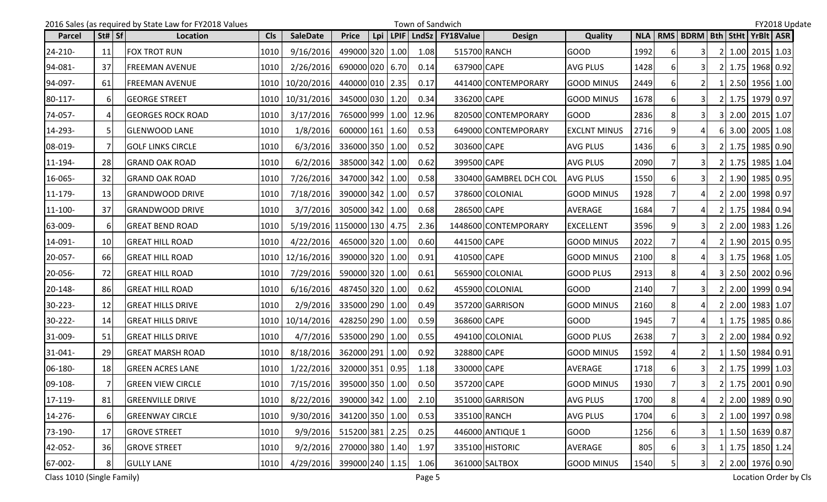|              |                | 2016 Sales (as required by State Law for FY2018 Values |            |                                                                                                         |                 |     | Town of Sandwich |                  |                        |                     |      |    |                               |           |                  | FY2018 Update |
|--------------|----------------|--------------------------------------------------------|------------|---------------------------------------------------------------------------------------------------------|-----------------|-----|------------------|------------------|------------------------|---------------------|------|----|-------------------------------|-----------|------------------|---------------|
| Parcel       | St#   Sf       | Location                                               | <b>CIs</b> | <b>SaleDate</b>                                                                                         | <b>Price</b>    | Lpi | LPIF   LndSz     | <b>FY18Value</b> | <b>Design</b>          | <b>Quality</b>      |      |    | NLA   RMS   BDRM   Bth   StHt |           | YrBlt ASR        |               |
| 24-210-      | 11             | <b>FOX TROT RUN</b>                                    | 1010       | 9/16/2016                                                                                               | 499000 320 1.00 |     | 1.08             |                  | 515700 RANCH           | <b>GOOD</b>         | 1992 | 61 | 31                            | 2I        | $1.00$ 2015 1.03 |               |
| 94-081-      | 37             | <b>FREEMAN AVENUE</b>                                  | 1010       | 2/26/2016                                                                                               | 690000 020 6.70 |     | 0.14             | 637900 CAPE      |                        | AVG PLUS            | 1428 |    | 3I                            |           | 2 1.75 1968 0.92 |               |
| 94-097-      | 61             | FREEMAN AVENUE                                         | 1010       | 10/20/2016                                                                                              | 440000 010 2.35 |     | 0.17             |                  | 441400 CONTEMPORARY    | <b>GOOD MINUS</b>   | 2449 | 61 | <b>21</b>                     |           | 1 2.50 1956 1.00 |               |
| 80-117-      | 6              | <b>GEORGE STREET</b>                                   | 1010       | 10/31/2016                                                                                              | 345000 030 1.20 |     | 0.34             | 336200 CAPE      |                        | <b>GOOD MINUS</b>   | 1678 |    | 31                            | 21        | 1.75 1979 0.97   |               |
| 74-057-      | 4              | <b>GEORGES ROCK ROAD</b>                               | 1010       | 3/17/2016                                                                                               | 765000 999 1.00 |     | 12.96            |                  | 820500 CONTEMPORARY    | <b>GOOD</b>         | 2836 | 8  |                               |           | 3 2.00 2015 1.07 |               |
| 14-293-      | 5              | <b>GLENWOOD LANE</b>                                   | 1010       | 1/8/2016                                                                                                | 600000 161 1.60 |     | 0.53             |                  | 649000 CONTEMPORARY    | <b>EXCLNT MINUS</b> | 2716 |    |                               |           | 6 3.00 2005 1.08 |               |
| 08-019-      |                | <b>GOLF LINKS CIRCLE</b>                               | 1010       | 6/3/2016                                                                                                | 336000 350 1.00 |     | 0.52             | 303600 CAPE      |                        | <b>AVG PLUS</b>     | 1436 |    |                               |           | 2 1.75 1985 0.90 |               |
| 11-194-      | <b>28</b>      | <b>GRAND OAK ROAD</b>                                  | 1010       | 6/2/2016                                                                                                | 385000 342 1.00 |     | 0.62             | 399500 CAPE      |                        | <b>AVG PLUS</b>     | 2090 |    |                               |           | 2 1.75 1985 1.04 |               |
| 16-065-      | 32             | <b>GRAND OAK ROAD</b>                                  | 1010       | 7/26/2016                                                                                               | 347000 342 1.00 |     | 0.58             |                  | 330400 GAMBREL DCH COL | <b>AVG PLUS</b>     | 1550 | 6  | 3I                            |           | 2 1.90 1985 0.95 |               |
| $11 - 179 -$ | 13             | <b>GRANDWOOD DRIVE</b>                                 | 1010       | 7/18/2016                                                                                               | 390000 342 1.00 |     | 0.57             |                  | 378600 COLONIAL        | <b>GOOD MINUS</b>   | 1928 |    |                               |           | 2 2.00 1998 0.97 |               |
| 11-100-      | 37             | <b>GRANDWOOD DRIVE</b>                                 | 1010       | 3/7/2016                                                                                                | 305000 342 1.00 |     | 0.68             | 286500 CAPE      |                        | AVERAGE             | 1684 |    |                               |           | 2 1.75 1984 0.94 |               |
| 63-009-      | 6              | <b>GREAT BEND ROAD</b>                                 | 1010       | 5/19/2016 1150000 130 4.75                                                                              |                 |     | 2.36             |                  | 1448600 CONTEMPORARY   | <b>EXCELLENT</b>    | 3596 |    |                               |           | 2 2.00 1983 1.26 |               |
| 14-091-      | 10             | <b>GREAT HILL ROAD</b>                                 | 1010       | 4/22/2016                                                                                               | 465000 320 1.00 |     | 0.60             | 441500 CAPE      |                        | <b>GOOD MINUS</b>   | 2022 |    | $\Delta$                      | <b>21</b> | 1.90 2015 0.95   |               |
| 20-057-      | 66             | <b>GREAT HILL ROAD</b>                                 | 1010       | 12/16/2016                                                                                              | 390000 320 1.00 |     | 0.91             | 410500 CAPE      |                        | <b>GOOD MINUS</b>   | 2100 | 8  | 4I                            |           | 3 1.75 1968 1.05 |               |
| 20-056-      | 72             | <b>GREAT HILL ROAD</b>                                 | 1010       | 7/29/2016                                                                                               | 590000 320 1.00 |     | 0.61             |                  | 565900 COLONIAL        | <b>GOOD PLUS</b>    | 2913 |    |                               |           | 3 2.50 2002 0.96 |               |
| 20-148-      | -86I           | GREAT HILL ROAD                                        | 1010       | 6/16/2016                                                                                               | 487450 320 1.00 |     | 0.62             |                  | 455900 COLONIAL        | <b>GOOD</b>         | 2140 |    | 3I                            |           | 2 2.00 1999 0.94 |               |
| 30-223-      | 12             | <b>GREAT HILLS DRIVE</b>                               | 1010       | 2/9/2016                                                                                                | 335000 290 1.00 |     | 0.49             |                  | 357200 GARRISON        | <b>GOOD MINUS</b>   | 2160 |    |                               |           | 2 2.00 1983 1.07 |               |
| 30-222-      | 14             | <b>GREAT HILLS DRIVE</b>                               | 1010       | 10/14/2016                                                                                              | 428250 290 1.00 |     | 0.59             | 368600 CAPE      |                        | <b>GOOD</b>         | 1945 |    | 41                            |           | 1 1.75 1985 0.86 |               |
| 31-009-      | 51             | <b>GREAT HILLS DRIVE</b>                               | 1010       | 4/7/2016                                                                                                | 535000 290 1.00 |     | 0.55             |                  | 494100 COLONIAL        | <b>GOOD PLUS</b>    | 2638 |    | 31                            |           | 2 2.00 1984 0.92 |               |
| $31 - 041 -$ | 29             | <b>GREAT MARSH ROAD</b>                                | 1010       | 8/18/2016                                                                                               | 362000 291 1.00 |     | 0.92             | 328800 CAPE      |                        | <b>GOOD MINUS</b>   | 1592 |    | 2 <sub>l</sub>                |           | 1 1.50 1984 0.91 |               |
| 06-180-      | <b>18</b>      | <b>GREEN ACRES LANE</b>                                | 1010       | 1/22/2016                                                                                               | 320000 351 0.95 |     | 1.18             | 330000 CAPE      |                        | AVERAGE             | 1718 |    | 3I                            |           | 2 1.75 1999 1.03 |               |
| 09-108-      | 7 <sup>1</sup> | <b>GREEN VIEW CIRCLE</b>                               |            | $\begin{array}{ c c c c c c c c c } \hline 1010 & 7/15/2016 & 395000 & 350 & 1.00 \ \hline \end{array}$ |                 |     | 0.50             | 357200 CAPE      |                        | <b>GOOD MINUS</b>   | 1930 |    | 3                             |           | 2 1.75 2001 0.90 |               |
| 17-119-      | 81             | <b>GREENVILLE DRIVE</b>                                | 1010       | 8/22/2016                                                                                               | 390000 342 1.00 |     | 2.10             |                  | 351000 GARRISON        | <b>AVG PLUS</b>     | 1700 | 8  | $\overline{4}$                |           | 2 2.00 1989 0.90 |               |
| 14-276-      | 6              | <b>GREENWAY CIRCLE</b>                                 | 1010       | 9/30/2016                                                                                               | 341200 350 1.00 |     | 0.53             |                  | 335100 RANCH           | <b>AVG PLUS</b>     | 1704 | 6  | 3I                            |           | 2 1.00 1997 0.98 |               |
| 73-190-      | 17             | <b>GROVE STREET</b>                                    | 1010       | 9/9/2016                                                                                                | 515200 381 2.25 |     | 0.25             |                  | 446000 ANTIQUE 1       | <b>GOOD</b>         | 1256 |    | 31                            |           | 1 1.50 1639 0.87 |               |
| 42-052-      | 36             | <b>GROVE STREET</b>                                    | 1010       | 9/2/2016                                                                                                | 270000 380 1.40 |     | 1.97             |                  | 335100 HISTORIC        | AVERAGE             | 805  | 6  |                               |           | 1 1.75 1850 1.24 |               |
| 67-002-      | 8 <sup>1</sup> | <b>GULLY LANE</b>                                      | 1010       | 4/29/2016 399000 240 1.15                                                                               |                 |     | 1.06             |                  | 361000 SALTBOX         | <b>GOOD MINUS</b>   | 1540 |    | 31                            |           | 2 2.00 1976 0.90 |               |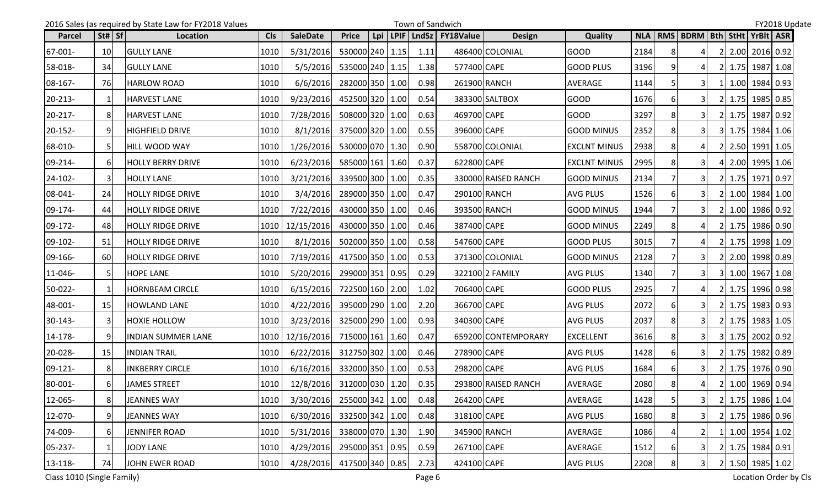|               |                 | 2016 Sales (as required by State Law for FY2018 Values |            |                                |                 |     |      | Town of Sandwich |                  |                     |                     |            |          |                                       |  |                  | FY2018 Update |  |
|---------------|-----------------|--------------------------------------------------------|------------|--------------------------------|-----------------|-----|------|------------------|------------------|---------------------|---------------------|------------|----------|---------------------------------------|--|------------------|---------------|--|
| <b>Parcel</b> | St#   Sf        | Location                                               | <b>CIs</b> | <b>SaleDate</b>                | <b>Price</b>    | Lpi | LPIF | <b>LndSz</b>     | <b>FY18Value</b> | <b>Design</b>       | <b>Quality</b>      | <b>NLA</b> |          | RMS   BDRM   Bth   StHt   YrBlt   ASR |  |                  |               |  |
| 67-001-       | 10 <sup>1</sup> | <b>GULLY LANE</b>                                      | 1010       | 5/31/2016                      | 530000 240 1.15 |     |      | 1.11             |                  | 486400 COLONIAL     | <b>GOOD</b>         | 2184       | 8        | 41                                    |  | 2 2.00 2016 0.92 |               |  |
| 58-018-       | 34              | <b>GULLY LANE</b>                                      | 1010       | 5/5/2016                       | 535000 240 1.15 |     |      | 1.38             | 577400 CAPE      |                     | <b>GOOD PLUS</b>    | 3196       |          |                                       |  | 2 1.75 1987 1.08 |               |  |
| 08-167-       | -76I            | <b>HARLOW ROAD</b>                                     | 1010       | 6/6/2016                       | 282000 350 1.00 |     |      | 0.98             | 261900 RANCH     |                     | AVERAGE             | 1144       |          | 31                                    |  | 1 1.00 1984 0.93 |               |  |
| 20-213-       | $\mathbf 1$     | <b>HARVEST LANE</b>                                    | 1010       | 9/23/2016                      | 452500 320 1.00 |     |      | 0.54             |                  | 383300 SALTBOX      | <b>GOOD</b>         | 1676       | 6        | 31                                    |  | 2 1.75 1985 0.85 |               |  |
| $20 - 217 -$  | 81              | <b>HARVEST LANE</b>                                    | 1010       | 7/28/2016                      | 508000 320 1.00 |     |      | 0.63             | 469700 CAPE      |                     | <b>GOOD</b>         | 3297       | 8        | 3I                                    |  | 2 1.75 1987 0.92 |               |  |
| 20-152-       | 91              | <b>HIGHFIELD DRIVE</b>                                 | 1010       | 8/1/2016                       | 375000 320 1.00 |     |      | 0.55             | 396000 CAPE      |                     | <b>GOOD MINUS</b>   | 2352       |          | 31                                    |  | 3 1.75 1984 1.06 |               |  |
| 68-010-       | 5               | <b>HILL WOOD WAY</b>                                   | 1010       | 1/26/2016                      | 530000 070 1.30 |     |      | 0.90             |                  | 558700 COLONIAL     | <b>EXCLNT MINUS</b> | 2938       |          |                                       |  | 2 2.50 1991 1.05 |               |  |
| $09 - 214 -$  | <sup>6</sup>    | HOLLY BERRY DRIVE                                      | 1010       | 6/23/2016                      | 585000 161 1.60 |     |      | 0.37             | 622800 CAPE      |                     | <b>EXCLNT MINUS</b> | 2995       |          |                                       |  | 4 2.00 1995 1.06 |               |  |
| 24-102-       | $\mathbf{3}$    | <b>HOLLY LANE</b>                                      | 1010       | 3/21/2016                      | 339500 300 1.00 |     |      | 0.35             |                  | 330000 RAISED RANCH | <b>GOOD MINUS</b>   | 2134       |          | 31                                    |  | 2 1.75 1971 0.97 |               |  |
| 08-041-       | 24              | <b>HOLLY RIDGE DRIVE</b>                               | 1010       | 3/4/2016                       | 289000 350 1.00 |     |      | 0.47             |                  | 290100 RANCH        | <b>AVG PLUS</b>     | 1526       | 61       |                                       |  | 2 1.00 1984 1.00 |               |  |
| 09-174-       | 44              | <b>HOLLY RIDGE DRIVE</b>                               | 1010       | 7/22/2016                      | 430000 350 1.00 |     |      | 0.46             | 393500 RANCH     |                     | <b>GOOD MINUS</b>   | 1944       |          | 3I                                    |  | 2 1.00 1986 0.92 |               |  |
| 09-172-       | 48              | <b>HOLLY RIDGE DRIVE</b>                               | 1010       | 12/15/2016                     | 430000 350 1.00 |     |      | 0.46             | 387400 CAPE      |                     | <b>GOOD MINUS</b>   | 2249       |          | 41                                    |  | 2 1.75 1986 0.90 |               |  |
| 09-102-       | 51              | <b>HOLLY RIDGE DRIVE</b>                               | 1010       | 8/1/2016                       | 502000 350 1.00 |     |      | 0.58             | 547600 CAPE      |                     | <b>GOOD PLUS</b>    | 3015       |          | $\mathbf{4}$                          |  | 2 1.75 1998 1.09 |               |  |
| 09-166-       | 60              | <b>HOLLY RIDGE DRIVE</b>                               | 1010       | 7/19/2016                      | 417500 350 1.00 |     |      | 0.53             |                  | 371300 COLONIAL     | <b>GOOD MINUS</b>   | 2128       |          | 3I                                    |  | 2 2.00 1998 0.89 |               |  |
| 11-046-       | <b>5</b>        | <b>HOPE LANE</b>                                       | 1010       | 5/20/2016                      | 299000 351 0.95 |     |      | 0.29             |                  | 322100 2 FAMILY     | <b>AVG PLUS</b>     | 1340       |          |                                       |  | 3 1.00 1967 1.08 |               |  |
| 50-022-       | 1               | <b>HORNBEAM CIRCLE</b>                                 | 1010       | 6/15/2016                      | 722500 160 2.00 |     |      | 1.02             | 706400 CAPE      |                     | <b>GOOD PLUS</b>    | 2925       |          | 41                                    |  | 2 1.75 1996 0.98 |               |  |
| 48-001-       | 15              | <b>HOWLAND LANE</b>                                    | 1010       | 4/22/2016                      | 395000 290 1.00 |     |      | 2.20             | 366700 CAPE      |                     | <b>AVG PLUS</b>     | 2072       | 61       |                                       |  | 2 1.75 1983 0.93 |               |  |
| $30-143-$     | $\mathbf{3}$    | <b>HOXIE HOLLOW</b>                                    | 1010       | 3/23/2016                      | 325000 290 1.00 |     |      | 0.93             | 340300 CAPE      |                     | <b>AVG PLUS</b>     | 2037       |          | 31                                    |  | 2 1.75 1983 1.05 |               |  |
| 14-178-       | 9               | INDIAN SUMMER LANE                                     | 1010       | 12/16/2016                     | 715000 161 1.60 |     |      | 0.47             |                  | 659200 CONTEMPORARY | <b>EXCELLENT</b>    | 3616       | 81       | 3I                                    |  | 3 1.75 2002 0.92 |               |  |
| 20-028-       | 15              | <b>INDIAN TRAIL</b>                                    | 1010       | 6/22/2016                      | 312750 302 1.00 |     |      | 0.46             | 278900 CAPE      |                     | <b>AVG PLUS</b>     | 1428       | 6        | 3I                                    |  | 2 1.75 1982 0.89 |               |  |
| 09-121-       | 8               | <b>INKBERRY CIRCLE</b>                                 | 1010       | 6/16/2016                      | 332000 350 1.00 |     |      | 0.53             | 298200 CAPE      |                     | <b>AVG PLUS</b>     | 1684       |          | 3I                                    |  | 2 1.75 1976 0.90 |               |  |
| 80-001-       | $6 \mid$        | JAMES STREET                                           |            | 1010 12/8/2016 312000 030 1.20 |                 |     |      | 0.35             |                  | 293800 RAISED RANCH | AVERAGE             | 2080       | $\Omega$ | $\mathbf{A}$                          |  | 2 1.00 1969 0.94 |               |  |
| 12-065-       | 8 <sup>1</sup>  | <b>JEANNES WAY</b>                                     | 1010       | 3/30/2016                      | 255000 342 1.00 |     |      | 0.48             | 264200 CAPE      |                     | AVERAGE             | 1428       |          | 31                                    |  | 2 1.75 1986 1.04 |               |  |
| 12-070-       | 9               | <b>JEANNES WAY</b>                                     | 1010       | 6/30/2016                      | 332500 342 1.00 |     |      | 0.48             | 318100 CAPE      |                     | <b>AVG PLUS</b>     | 1680       | 8        | 31                                    |  | 2 1.75 1986 0.96 |               |  |
| 74-009-       | 6               | JENNIFER ROAD                                          | 1010       | 5/31/2016                      | 338000 070 1.30 |     |      | 1.90             |                  | 345900 RANCH        | AVERAGE             | 1086       |          | 21                                    |  | 1 1.00 1954 1.02 |               |  |
| 05-237-       | 1               | JODY LANE                                              | 1010       | 4/29/2016                      | 295000 351 0.95 |     |      | 0.59             | 267100 CAPE      |                     | AVERAGE             | 1512       | 6        | 31                                    |  | 2 1.75 1984 0.91 |               |  |
| 13-118-       | 74              | <b>JOHN EWER ROAD</b>                                  | 1010       | 4/28/2016                      | 417500 340 0.85 |     |      | 2.73             | 424100 CAPE      |                     | <b>AVG PLUS</b>     | 2208       | 8        | 31                                    |  | 2 1.50 1985 1.02 |               |  |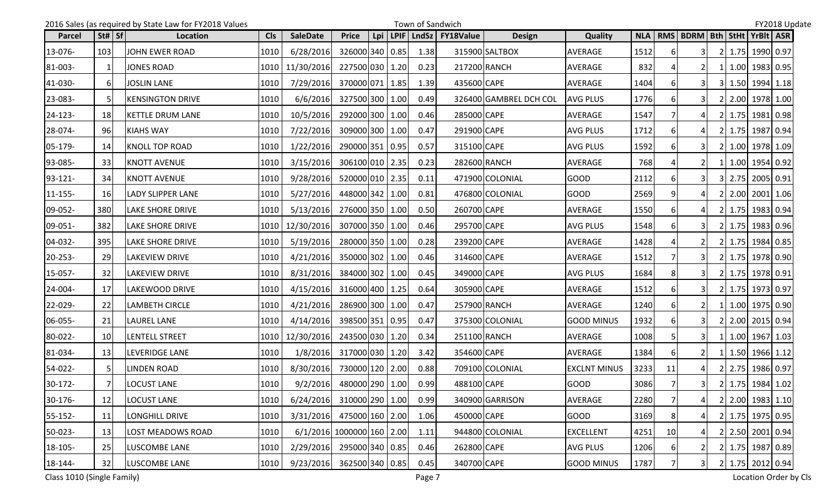|         |                                | 2016 Sales (as required by State Law for FY2018 Values |            |                            |                 |     | Town of Sandwich |                          |                        |                     |      |                 |                               |    |                  | FY2018 Update |
|---------|--------------------------------|--------------------------------------------------------|------------|----------------------------|-----------------|-----|------------------|--------------------------|------------------------|---------------------|------|-----------------|-------------------------------|----|------------------|---------------|
| Parcel  | $\vert$ St# $\vert$ Sf $\vert$ | Location                                               | <b>Cls</b> | <b>SaleDate</b>            | <b>Price</b>    | Lpi |                  | LPIF   LndSz   FY18Value | <b>Design</b>          | <b>Quality</b>      |      |                 | NLA   RMS   BDRM   Bth   StHt |    | YrBlt   ASR      |               |
| 13-076- | 103                            | JOHN EWER ROAD                                         | 1010       | 6/28/2016                  | 326000 340 0.85 |     | 1.38             |                          | 315900 SALTBOX         | <b>AVERAGE</b>      | 1512 | 6               | 3                             | 2I | 1.75 1990 0.97   |               |
| 81-003- | 1                              | <b>JONES ROAD</b>                                      |            | 1010 11/30/2016            | 227500 030 1.20 |     | 0.23             |                          | 217200 RANCH           | AVERAGE             | 832  |                 |                               | 1I | 1.00 1983 0.95   |               |
| 41-030- | 6                              | <b>JOSLIN LANE</b>                                     | 1010       | 7/29/2016                  | 370000 071 1.85 |     | 1.39             | 435600 CAPE              |                        | AVERAGE             | 1404 | 61              |                               |    | 3 1.50 1994 1.18 |               |
| 23-083- |                                | <b>KENSINGTON DRIVE</b>                                | 1010       | 6/6/2016                   | 327500 300 1.00 |     | 0.49             |                          | 326400 GAMBREL DCH COL | <b>AVG PLUS</b>     | 1776 |                 | $\overline{3}$                |    | 2.00 1978 1.00   |               |
| 24-123- | 18                             | <b>KETTLE DRUM LANE</b>                                | 1010       | 10/5/2016                  | 292000 300 1.00 |     | 0.46             | 285000 CAPE              |                        | <b>AVERAGE</b>      | 1547 |                 |                               |    | 2 1.75 1981 0.98 |               |
| 28-074- | 96                             | <b>KIAHS WAY</b>                                       | 1010       | 7/22/2016                  | 309000 300 1.00 |     | 0.47             | 291900 CAPE              |                        | <b>AVG PLUS</b>     | 1712 |                 |                               |    | 2 1.75 1987 0.94 |               |
| 05-179- | 14                             | <b>KNOLL TOP ROAD</b>                                  | 1010       | 1/22/2016                  | 290000 351 0.95 |     | 0.57             | 315100 CAPE              |                        | <b>AVG PLUS</b>     | 1592 |                 |                               |    | 2 1.00 1978 1.09 |               |
| 93-085- | 33                             | <b>KNOTT AVENUE</b>                                    | 1010       | 3/15/2016                  | 306100 010 2.35 |     | 0.23             |                          | 282600 RANCH           | <b>AVERAGE</b>      | 768  |                 |                               |    | 1 1.00 1954 0.92 |               |
| 93-121- | 34                             | <b>KNOTT AVENUE</b>                                    | 1010       | 9/28/2016                  | 520000 010 2.35 |     | 0.11             |                          | 471900 COLONIAL        | <b>GOOD</b>         | 2112 |                 | 31                            |    | 3 2.75 2005 0.91 |               |
| 11-155- | 16                             | <b>LADY SLIPPER LANE</b>                               | 1010       | 5/27/2016                  | 448000 342 1.00 |     | 0.81             |                          | 476800 COLONIAL        | <b>GOOD</b>         | 2569 |                 |                               |    | 2 2.00 2001 1.06 |               |
| 09-052- | 380                            | <b>LAKE SHORE DRIVE</b>                                | 1010       | 5/13/2016                  | 276000 350 1.00 |     | 0.50             | 260700 CAPE              |                        | <b>AVERAGE</b>      | 1550 | 6               |                               |    | 2 1.75 1983 0.94 |               |
| 09-051- | 382                            | <b>LAKE SHORE DRIVE</b>                                |            | 1010   12/30/2016          | 307000 350 1.00 |     | 0.46             | 295700 CAPE              |                        | <b>AVG PLUS</b>     | 1548 | 6               |                               |    | 2 1.75 1983 0.96 |               |
| 04-032- | 395                            | LAKE SHORE DRIVE                                       | 1010       | 5/19/2016                  | 280000 350 1.00 |     | 0.28             | 239200 CAPE              |                        | AVERAGE             | 1428 |                 |                               |    | 2 1.75 1984 0.85 |               |
| 20-253- | 29                             | <b>LAKEVIEW DRIVE</b>                                  | 1010       | 4/21/2016                  | 350000 302 1.00 |     | 0.46             | 314600 CAPE              |                        | <b>AVERAGE</b>      | 1512 |                 | 31                            |    | 2 1.75 1978 0.90 |               |
| 15-057- | 32                             | <b>LAKEVIEW DRIVE</b>                                  | 1010       | 8/31/2016                  | 384000 302 1.00 |     | 0.45             | 349000 CAPE              |                        | <b>AVG PLUS</b>     | 1684 | 8               |                               |    | 2 1.75 1978 0.91 |               |
| 24-004- | 17                             | LAKEWOOD DRIVE                                         | 1010       | 4/15/2016                  | 316000 400 1.25 |     | 0.64             | 305900 CAPE              |                        | AVERAGE             | 1512 |                 | 3I                            |    | 2 1.75 1973 0.97 |               |
| 22-029- | 22                             | <b>LAMBETH CIRCLE</b>                                  | 1010       | 4/21/2016                  | 286900 300 1.00 |     | 0.47             |                          | 257900 RANCH           | AVERAGE             | 1240 | 6               | <b>21</b>                     |    | 1 1.00 1975 0.90 |               |
| 06-055- | 21                             | <b>LAUREL LANE</b>                                     | 1010       | 4/14/2016                  | 398500 351 0.95 |     | 0.47             |                          | 375300 COLONIAL        | <b>GOOD MINUS</b>   | 1932 |                 | 3I                            |    | 2 2.00 2015 0.94 |               |
| 80-022- | 10 <sup>1</sup>                | <b>LENTELL STREET</b>                                  |            | 1010 12/30/2016            | 243500 030 1.20 |     | 0.34             |                          | 251100 RANCH           | AVERAGE             | 1008 |                 | 31                            |    | 1 1.00 1967 1.03 |               |
| 81-034- | 13                             | <b>LEVERIDGE LANE</b>                                  | 1010       | 1/8/2016                   | 317000 030 1.20 |     | 3.42             | 354600 CAPE              |                        | AVERAGE             | 1384 | 6               | <b>21</b>                     |    | 1 1.50 1966 1.12 |               |
| 54-022- |                                | <b>LINDEN ROAD</b>                                     | 1010       | 8/30/2016                  | 730000 120 2.00 |     | 0.88             |                          | 709100 COLONIAL        | <b>EXCLNT MINUS</b> | 3233 | 11              | $\Delta$                      |    | 2 2.75 1986 0.97 |               |
| 30-172- | 7 <sup>1</sup>                 | <b>LOCUST LANE</b>                                     | 1010       | $9/2/2016$ 480000 290 1.00 |                 |     | 0.99             | 488100 CAPE              |                        | GOOD                | 3086 | 7 <sup>1</sup>  | 3 <sup>1</sup>                |    | 2 1.75 1984 1.02 |               |
| 30-176- | 12                             | <b>LOCUST LANE</b>                                     | 1010       | 6/24/2016 310000 290 1.00  |                 |     | 0.99             |                          | 340900 GARRISON        | AVERAGE             | 2280 |                 | 4                             |    | 2 2.00 1983 1.10 |               |
| 55-152- | 11                             | LONGHILL DRIVE                                         | 1010       | 3/31/2016 475000 160 2.00  |                 |     | 1.06             | 450000 CAPE              |                        | <b>GOOD</b>         | 3169 | 8               |                               |    | 2 1.75 1975 0.95 |               |
| 50-023- | 13                             | LOST MEADOWS ROAD                                      | 1010       | 6/1/2016 1000000 160 2.00  |                 |     | 1.11             |                          | 944800 COLONIAL        | <b>EXCELLENT</b>    | 4251 | 10 <sup>1</sup> |                               |    | 2 2.50 2001 0.94 |               |
| 18-105- | 25                             | LUSCOMBE LANE                                          | 1010       | 2/29/2016                  | 295000 340 0.85 |     | 0.46             | 262800 CAPE              |                        | <b>AVG PLUS</b>     | 1206 | 6               | <b>21</b>                     |    | 2 1.75 1987 0.89 |               |
| 18-144- | 32                             | LUSCOMBE LANE                                          | 1010       | 9/23/2016 362500 340 0.85  |                 |     | 0.45             | 340700 CAPE              |                        | <b>GOOD MINUS</b>   | 1787 |                 | 31                            |    | 2 1.75 2012 0.94 |               |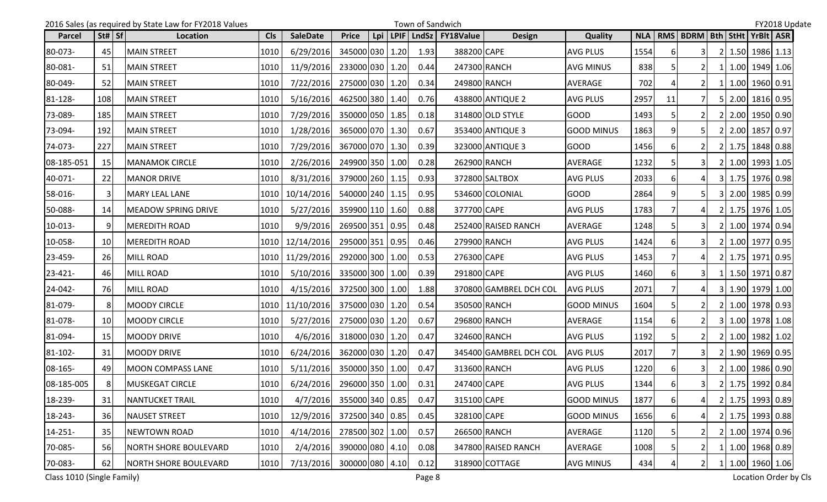|               |                 | 2016 Sales (as required by State Law for FY2018 Values |            |                                |                 |     |      | Town of Sandwich |                  |                        |                   |            |    |                                       |  |                        | FY2018 Update |
|---------------|-----------------|--------------------------------------------------------|------------|--------------------------------|-----------------|-----|------|------------------|------------------|------------------------|-------------------|------------|----|---------------------------------------|--|------------------------|---------------|
| <b>Parcel</b> | St#   Sf        | Location                                               | <b>CIs</b> | <b>SaleDate</b>                | <b>Price</b>    | Lpi | LPIF | LndSz            | <b>FY18Value</b> | <b>Design</b>          | <b>Quality</b>    | <b>NLA</b> |    | RMS   BDRM   Bth   StHt   YrBIt   ASR |  |                        |               |
| 80-073-       | 45              | <b>MAIN STREET</b>                                     | 1010       | 6/29/2016                      | 345000 030 1.20 |     |      | 1.93             | 388200 CAPE      |                        | <b>AVG PLUS</b>   | 1554       | 61 | 31                                    |  | 2 1.50 1986 1.13       |               |
| 80-081-       | 51              | <b>MAIN STREET</b>                                     | 1010       | 11/9/2016                      | 233000 030 1.20 |     |      | 0.44             | 247300 RANCH     |                        | <b>AVG MINUS</b>  | 838        |    |                                       |  | 1 1.00 1949 1.06       |               |
| 80-049-       | 52              | <b>MAIN STREET</b>                                     | 1010       | 7/22/2016                      | 275000 030 1.20 |     |      | 0.34             |                  | 249800 RANCH           | AVERAGE           | 702        |    | <b>21</b>                             |  | 1   1.00   1960   0.91 |               |
| 81-128-       | 108             | <b>MAIN STREET</b>                                     | 1010       | 5/16/2016                      | 462500 380 1.40 |     |      | 0.76             |                  | 438800 ANTIQUE 2       | <b>AVG PLUS</b>   | 2957       | 11 |                                       |  | 5 2.00 1816 0.95       |               |
| 73-089-       | 185             | <b>MAIN STREET</b>                                     | 1010       | 7/29/2016                      | 350000 050 1.85 |     |      | 0.18             |                  | 314800 OLD STYLE       | <b>GOOD</b>       | 1493       |    | <b>21</b>                             |  | 2 2.00 1950 0.90       |               |
| 73-094-       | 192             | <b>MAIN STREET</b>                                     | 1010       | 1/28/2016                      | 365000 070 1.30 |     |      | 0.67             |                  | 353400 ANTIQUE 3       | <b>GOOD MINUS</b> | 1863       |    | 51                                    |  | 2 2.00 1857 0.97       |               |
| 74-073-       | 227             | <b>MAIN STREET</b>                                     | 1010       | 7/29/2016                      | 367000 070 1.30 |     |      | 0.39             |                  | 323000 ANTIQUE 3       | <b>GOOD</b>       | 1456       |    |                                       |  | 2 1.75 1848 0.88       |               |
| 08-185-051    | 15              | <b>MANAMOK CIRCLE</b>                                  | 1010       | 2/26/2016                      | 249900 350 1.00 |     |      | 0.28             |                  | 262900 RANCH           | AVERAGE           | 1232       |    | 3I                                    |  | 2 1.00 1993 1.05       |               |
| 40-071-       | 22              | <b>MANOR DRIVE</b>                                     | 1010       | 8/31/2016                      | 379000 260 1.15 |     |      | 0.93             |                  | 372800 SALTBOX         | <b>AVG PLUS</b>   | 2033       | 6  | 41                                    |  | 3 1.75 1976 0.98       |               |
| 58-016-       | $\mathbf{3}$    | <b>MARY LEAL LANE</b>                                  | 1010       | 10/14/2016                     | 540000 240 1.15 |     |      | 0.95             |                  | 534600 COLONIAL        | <b>GOOD</b>       | 2864       |    | 51                                    |  | 3 2.00 1985 0.99       |               |
| 50-088-       | 14              | <b>MEADOW SPRING DRIVE</b>                             | 1010       | 5/27/2016                      | 359900 110 1.60 |     |      | 0.88             | 377700 CAPE      |                        | <b>AVG PLUS</b>   | 1783       |    | 41                                    |  | 2 1.75 1976 1.05       |               |
| 10-013-       | 9               | <b>MEREDITH ROAD</b>                                   | 1010       | 9/9/2016                       | 269500 351 0.95 |     |      | 0.48             |                  | 252400 RAISED RANCH    | AVERAGE           | 1248       |    |                                       |  | 2 1.00 1974 0.94       |               |
| 10-058-       | 10 <sup>1</sup> | <b>MEREDITH ROAD</b>                                   | 1010       | 12/14/2016                     | 295000 351 0.95 |     |      | 0.46             |                  | 279900 RANCH           | <b>AVG PLUS</b>   | 1424       |    | 3I                                    |  | 2 1.00 1977 0.95       |               |
| 23-459-       | 26              | <b>MILL ROAD</b>                                       | 1010       | 11/29/2016                     | 292000 300 1.00 |     |      | 0.53             | 276300 CAPE      |                        | <b>AVG PLUS</b>   | 1453       |    | 41                                    |  | 2 1.75 1971 0.95       |               |
| $23 - 421 -$  | 46              | <b>MILL ROAD</b>                                       | 1010       | 5/10/2016                      | 335000 300 1.00 |     |      | 0.39             | 291800 CAPE      |                        | <b>AVG PLUS</b>   | 1460       | 61 | 3I                                    |  | 1 1.50 1971 0.87       |               |
| 24-042-       | -76I            | <b>MILL ROAD</b>                                       | 1010       | 4/15/2016                      | 372500 300 1.00 |     |      | 1.88             |                  | 370800 GAMBREL DCH COL | <b>AVG PLUS</b>   | 2071       |    | 41                                    |  | 3 1.90 1979 1.00       |               |
| 81-079-       | 8               | <b>MOODY CIRCLE</b>                                    | 1010       | 11/10/2016                     | 375000 030 1.20 |     |      | 0.54             |                  | 350500 RANCH           | <b>GOOD MINUS</b> | 1604       |    |                                       |  | 2 1.00 1978 0.93       |               |
| 81-078-       | 10 <sup>1</sup> | <b>MOODY CIRCLE</b>                                    | 1010       | 5/27/2016                      | 275000 030 1.20 |     |      | 0.67             |                  | 296800 RANCH           | AVERAGE           | 1154       | 61 | <b>21</b>                             |  | 3 1.00 1978 1.08       |               |
| 81-094-       | 15              | <b>MOODY DRIVE</b>                                     | 1010       | 4/6/2016                       | 318000 030 1.20 |     |      | 0.47             |                  | 324600 RANCH           | <b>AVG PLUS</b>   | 1192       |    | 2 <sub>1</sub>                        |  | 2 1.00 1982 1.02       |               |
| 81-102-       | 31              | <b>MOODY DRIVE</b>                                     | 1010       | 6/24/2016                      | 362000 030 1.20 |     |      | 0.47             |                  | 345400 GAMBREL DCH COL | <b>AVG PLUS</b>   | 2017       |    | 3I                                    |  | 2 1.90 1969 0.95       |               |
| 08-165-       | 491             | <b>MOON COMPASS LANE</b>                               | 1010       | 5/11/2016                      | 350000 350 1.00 |     |      | 0.47             | 313600 RANCH     |                        | <b>AVG PLUS</b>   | 1220       |    | 31                                    |  | 2 1.00 1986 0.90       |               |
| 08-185-005    | 8 <sup>1</sup>  | MUSKEGAT CIRCLE                                        |            | 1010 6/24/2016 296000 350 1.00 |                 |     |      | 0.31             | 247400 CAPE      |                        | <b>AVG PLUS</b>   | 1344       | 6I | 3                                     |  | 2 1.75 1992 0.84       |               |
| 18-239-       | 31              | <b>NANTUCKET TRAIL</b>                                 | 1010       | 4/7/2016                       | 355000 340 0.85 |     |      | 0.47             | 315100 CAPE      |                        | <b>GOOD MINUS</b> | 1877       |    | 41                                    |  | 2 1.75 1993 0.89       |               |
| 18-243-       | 36              | <b>NAUSET STREET</b>                                   | 1010       | 12/9/2016                      | 372500 340 0.85 |     |      | 0.45             | 328100 CAPE      |                        | <b>GOOD MINUS</b> | 1656       | 6  |                                       |  | 2 1.75 1993 0.88       |               |
| $14 - 251 -$  | 35              | NEWTOWN ROAD                                           | 1010       | 4/14/2016                      | 278500 302 1.00 |     |      | 0.57             |                  | 266500 RANCH           | AVERAGE           | 1120       |    | 21                                    |  | 2 1.00 1974 0.96       |               |
| 70-085-       | 56              | <b>NORTH SHORE BOULEVARD</b>                           | 1010       | 2/4/2016                       | 390000 080 4.10 |     |      | 0.08             |                  | 347800 RAISED RANCH    | AVERAGE           | 1008       |    | 21                                    |  | 1 1.00 1968 0.89       |               |
| 70-083-       | 62              | <b>NORTH SHORE BOULEVARD</b>                           | 1010       | 7/13/2016                      | 300000 080 4.10 |     |      | 0.12             |                  | 318900 COTTAGE         | <b>AVG MINUS</b>  | 434        |    | 2                                     |  | 1 1.00 1960 1.06       |               |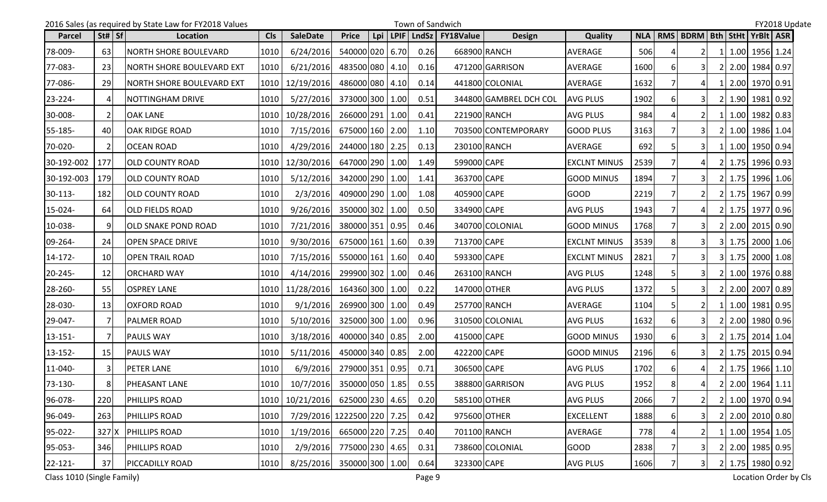|              |                | 2016 Sales (as required by State Law for FY2018 Values |            |                                                                                                       |                 |     | Town of Sandwich |                  |                        |                     |      |    |                               |    |                  | FY2018 Update |  |
|--------------|----------------|--------------------------------------------------------|------------|-------------------------------------------------------------------------------------------------------|-----------------|-----|------------------|------------------|------------------------|---------------------|------|----|-------------------------------|----|------------------|---------------|--|
| Parcel       | St#   Sf       | Location                                               | <b>CIs</b> | <b>SaleDate</b>                                                                                       | <b>Price</b>    | Lpi | LPIF LndSz       | <b>FY18Value</b> | <b>Design</b>          | <b>Quality</b>      |      |    | NLA   RMS   BDRM   Bth   StHt |    | YrBlt ASR        |               |  |
| 78-009-      | 63             | <b>NORTH SHORE BOULEVARD</b>                           | 1010       | 6/24/2016                                                                                             | 540000 020 6.70 |     | 0.26             | 668900 RANCH     |                        | AVERAGE             | 506  |    | 2 <sup>1</sup>                |    | 1.00 1956 1.24   |               |  |
| 77-083-      | 23             | INORTH SHORE BOULEVARD EXT                             | 1010       | 6/21/2016                                                                                             | 483500 080 4.10 |     | 0.16             |                  | 471200 GARRISON        | AVERAGE             | 1600 |    | 3I                            |    | 2 2.00 1984 0.97 |               |  |
| 77-086-      | <b>29</b>      | INORTH SHORE BOULEVARD EXT                             | 1010       | 12/19/2016                                                                                            | 486000 080 4.10 |     | 0.14             |                  | 441800 COLONIAL        | AVERAGE             | 1632 |    | 4 I                           |    | 1 2.00 1970 0.91 |               |  |
| 23-224-      | Δ              | NOTTINGHAM DRIVE                                       | 1010       | 5/27/2016                                                                                             | 373000 300 1.00 |     | 0.51             |                  | 344800 GAMBREL DCH COL | <b>AVG PLUS</b>     | 1902 |    | 31                            | 21 | 1.90 1981 0.92   |               |  |
| 30-008-      | $\overline{2}$ | <b>OAK LANE</b>                                        | 1010       | 10/28/2016                                                                                            | 266000 291 1.00 |     | 0.41             |                  | 221900 RANCH           | <b>AVG PLUS</b>     | 984  |    |                               |    | 1 1.00 1982 0.83 |               |  |
| 55-185-      | 40             | <b>OAK RIDGE ROAD</b>                                  | 1010       | 7/15/2016                                                                                             | 675000 160 2.00 |     | 1.10             |                  | 703500 CONTEMPORARY    | <b>GOOD PLUS</b>    | 3163 |    | 3I                            |    | 2 1.00 1986 1.04 |               |  |
| 70-020-      |                | <b>OCEAN ROAD</b>                                      | 1010       | 4/29/2016                                                                                             | 244000 180 2.25 |     | 0.13             | 230100 RANCH     |                        | AVERAGE             | 692  |    |                               |    | 1 1.00 1950 0.94 |               |  |
| 30-192-002   | 177            | <b>OLD COUNTY ROAD</b>                                 | 1010       | 12/30/2016                                                                                            | 647000 290 1.00 |     | 1.49             | 599000 CAPE      |                        | <b>EXCLNT MINUS</b> | 2539 |    | $\mathbf{4}$                  |    | 2 1.75 1996 0.93 |               |  |
| 30-192-003   | 179            | <b>OLD COUNTY ROAD</b>                                 | 1010       | 5/12/2016                                                                                             | 342000 290 1.00 |     | 1.41             | 363700 CAPE      |                        | <b>GOOD MINUS</b>   | 1894 |    | 3I                            |    | 2 1.75 1996 1.06 |               |  |
| $30-113-$    | 182            | <b>OLD COUNTY ROAD</b>                                 | 1010       | 2/3/2016                                                                                              | 409000 290 1.00 |     | 1.08             | 405900 CAPE      |                        | <b>GOOD</b>         | 2219 |    |                               |    | 2 1.75 1967 0.99 |               |  |
| 15-024-      | 64             | <b>OLD FIELDS ROAD</b>                                 | 1010       | 9/26/2016                                                                                             | 350000 302 1.00 |     | 0.50             | 334900 CAPE      |                        | AVG PLUS            | 1943 |    |                               |    | 2 1.75 1977 0.96 |               |  |
| 10-038-      | 9              | <b>OLD SNAKE POND ROAD</b>                             | 1010       | 7/21/2016                                                                                             | 380000 351 0.95 |     | 0.46             |                  | 340700 COLONIAL        | <b>GOOD MINUS</b>   | 1768 |    |                               |    | 2 2.00 2015 0.90 |               |  |
| 09-264-      | 24             | <b>OPEN SPACE DRIVE</b>                                | 1010       | 9/30/2016                                                                                             | 675000 161 1.60 |     | 0.39             | 713700 CAPE      |                        | <b>EXCLNT MINUS</b> | 3539 |    |                               |    | 3 1.75 2000 1.06 |               |  |
| 14-172-      | 10             | <b>OPEN TRAIL ROAD</b>                                 | 1010       | 7/15/2016                                                                                             | 550000 161 1.60 |     | 0.40             | 593300 CAPE      |                        | <b>EXCLNT MINUS</b> | 2821 |    | 31                            |    | 3 1.75 2000 1.08 |               |  |
| 20-245-      | 12             | ORCHARD WAY                                            | 1010       | 4/14/2016                                                                                             | 299900 302 1.00 |     | 0.46             | 263100 RANCH     |                        | <b>AVG PLUS</b>     | 1248 |    |                               | 2I | 1.00 1976 0.88   |               |  |
| 28-260-      | 55             | <b>OSPREY LANE</b>                                     | 1010       | 11/28/2016                                                                                            | 164360 300 1.00 |     | 0.22             | 147000 OTHER     |                        | AVG PLUS            | 1372 |    | 31                            |    | 2 2.00 2007 0.89 |               |  |
| 28-030-      | 13             | <b>OXFORD ROAD</b>                                     | 1010       | 9/1/2016                                                                                              | 269900 300 1.00 |     | 0.49             | 257700 RANCH     |                        | AVERAGE             | 1104 |    |                               |    | 1.00 1981 0.95   |               |  |
| 29-047-      | 7              | <b>PALMER ROAD</b>                                     | 1010       | 5/10/2016                                                                                             | 325000 300 1.00 |     | 0.96             |                  | 310500 COLONIAL        | <b>AVG PLUS</b>     | 1632 | 6  | 31                            |    | 2 2.00 1980 0.96 |               |  |
| 13-151-      | 7              | <b>PAULS WAY</b>                                       | 1010       | 3/18/2016                                                                                             | 400000 340 0.85 |     | 2.00             | 415000 CAPE      |                        | <b>GOOD MINUS</b>   | 1930 | 61 | 31                            |    | 2 1.75 2014 1.04 |               |  |
| 13-152-      | 15             | <b>PAULS WAY</b>                                       | 1010       | 5/11/2016                                                                                             | 450000 340 0.85 |     | 2.00             | 422200 CAPE      |                        | <b>GOOD MINUS</b>   | 2196 |    | 3I                            |    | 2 1.75 2015 0.94 |               |  |
| 11-040-      | 3              | <b>PETER LANE</b>                                      | 1010       | 6/9/2016                                                                                              | 279000 351 0.95 |     | 0.71             | 306500 CAPE      |                        | <b>AVG PLUS</b>     | 1702 |    | 41                            |    | 2 1.75 1966 1.10 |               |  |
| 73-130-      | 8              | PHEASANT LANE                                          |            | $\begin{array}{ c c c c c c c c } \hline 1010 & 10/7/2016 & 350000 & 050 & 1.85 \ \hline \end{array}$ |                 |     | 0.55             |                  | 388800 GARRISON        | AVG PLUS            | 1952 | ΩI | $\overline{4}$                |    | 2 2.00 1964 1.11 |               |  |
| 96-078-      | 220            | <b>PHILLIPS ROAD</b>                                   |            | 1010   10/21/2016   625000   230   4.65                                                               |                 |     | 0.20             |                  | 585100 OTHER           | <b>AVG PLUS</b>     | 2066 |    | <b>21</b>                     |    | 2 1.00 1970 0.94 |               |  |
| 96-049-      | 263            | <b>PHILLIPS ROAD</b>                                   | 1010       | 7/29/2016 1222500 220 7.25                                                                            |                 |     | 0.42             | 975600 OTHER     |                        | <b>EXCELLENT</b>    | 1888 | 6  | 3I                            |    | 2 2.00 2010 0.80 |               |  |
| 95-022-      |                | 327 X PHILLIPS ROAD                                    | 1010       | 1/19/2016 665000 220 7.25                                                                             |                 |     | 0.40             |                  | 701100 RANCH           | AVERAGE             | 778  |    | 2 I                           |    | 1 1.00 1954 1.05 |               |  |
| 95-053-      | 346            | <b>PHILLIPS ROAD</b>                                   | 1010       | 2/9/2016 775000 230 4.65                                                                              |                 |     | 0.31             |                  | 738600 COLONIAL        | <b>GOOD</b>         | 2838 |    | 31                            |    | 2 2.00 1985 0.95 |               |  |
| $22 - 121 -$ | 37             | PICCADILLY ROAD                                        | 1010       | 8/25/2016 350000 300 1.00                                                                             |                 |     | 0.64             | 323300 CAPE      |                        | <b>AVG PLUS</b>     | 1606 |    | 3                             |    | 2 1.75 1980 0.92 |               |  |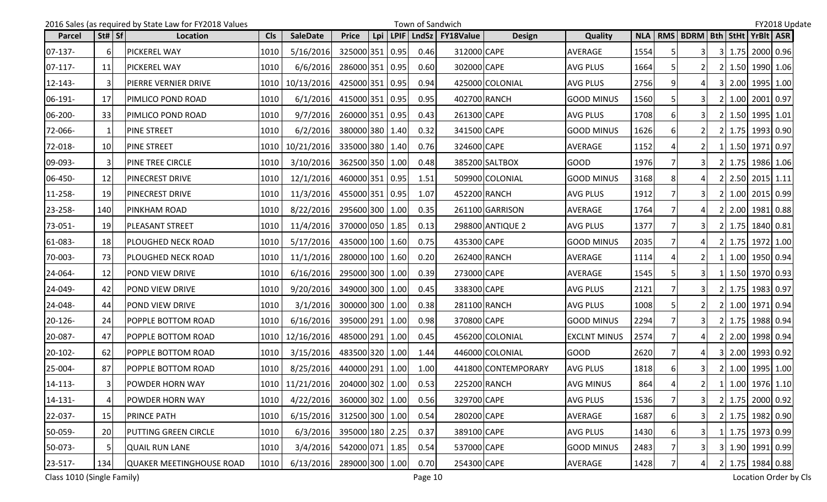|              |                 | 2016 Sales (as required by State Law for FY2018 Values |            |                                         |                 |     | Town of Sandwich |                  |                     |                     |      |    |                               |    |                  | FY2018 Update |
|--------------|-----------------|--------------------------------------------------------|------------|-----------------------------------------|-----------------|-----|------------------|------------------|---------------------|---------------------|------|----|-------------------------------|----|------------------|---------------|
| Parcel       | St# Sf          | Location                                               | <b>Cls</b> | <b>SaleDate</b>                         | <b>Price</b>    | Lpi | LPIF LndSz       | <b>FY18Value</b> | <b>Design</b>       | Quality             |      |    | NLA   RMS   BDRM   Bth   StHt |    | YrBlt ASR        |               |
| $07-137-$    | 6               | <b>PICKEREL WAY</b>                                    | 1010       | 5/16/2016                               | 325000 351 0.95 |     | 0.46             | 312000 CAPE      |                     | AVERAGE             | 1554 |    | 31                            |    | 3 1.75 2000 0.96 |               |
| $07-117-$    | 11              | <b>PICKEREL WAY</b>                                    | 1010       | 6/6/2016                                | 286000 351 0.95 |     | 0.60             | 302000 CAPE      |                     | AVG PLUS            | 1664 |    |                               | 2I | 1.50 1990 1.06   |               |
| $12 - 143 -$ | 3               | PIERRE VERNIER DRIVE                                   | 1010       | 10/13/2016                              | 425000 351 0.95 |     | 0.94             |                  | 425000 COLONIAL     | AVG PLUS            | 2756 |    | 4 I                           |    | 3 2.00 1995 1.00 |               |
| 06-191-      | 17              | PIMLICO POND ROAD                                      | 1010       | 6/1/2016                                | 415000 351 0.95 |     | 0.95             |                  | 402700 RANCH        | GOOD MINUS          | 1560 |    |                               |    | 2 1.00 2001 0.97 |               |
| 06-200-      | 33              | PIMLICO POND ROAD                                      | 1010       | 9/7/2016                                | 260000 351 0.95 |     | 0.43             | 261300 CAPE      |                     | <b>AVG PLUS</b>     | 1708 |    | 3I                            |    | 2 1.50 1995 1.01 |               |
| 72-066-      | -1              | <b>PINE STREET</b>                                     | 1010       | 6/2/2016                                | 380000 380 1.40 |     | 0.32             | 341500 CAPE      |                     | <b>GOOD MINUS</b>   | 1626 | 6  | 2 <sub>l</sub>                |    | 2 1.75 1993 0.90 |               |
| 72-018-      | 10 <sup>1</sup> | <b>PINE STREET</b>                                     | 1010       | 10/21/2016                              | 335000 380 1.40 |     | 0.76             | 324600 CAPE      |                     | AVERAGE             | 1152 |    |                               |    | 1 1.50 1971 0.97 |               |
| 09-093-      | 3               | <b>PINE TREE CIRCLE</b>                                | 1010       | 3/10/2016                               | 362500 350 1.00 |     | 0.48             |                  | 385200 SALTBOX      | <b>GOOD</b>         | 1976 |    |                               |    | 2 1.75 1986 1.06 |               |
| 06-450-      | 12              | <b>PINECREST DRIVE</b>                                 | 1010       | 12/1/2016                               | 460000 351 0.95 |     | 1.51             |                  | 509900 COLONIAL     | <b>GOOD MINUS</b>   | 3168 |    | 41                            |    | 2 2.50 2015 1.11 |               |
| 11-258-      | <b>19</b>       | <b>PINECREST DRIVE</b>                                 | 1010       | 11/3/2016                               | 455000 351 0.95 |     | 1.07             |                  | 452200 RANCH        | <b>AVG PLUS</b>     | 1912 |    | 31                            |    | 2 1.00 2015 0.99 |               |
| 23-258-      | 140             | <b>PINKHAM ROAD</b>                                    | 1010       | 8/22/2016                               | 295600 300 1.00 |     | 0.35             |                  | 261100 GARRISON     | AVERAGE             | 1764 |    |                               |    | 2 2.00 1981 0.88 |               |
| 73-051-      | 19              | <b>PLEASANT STREET</b>                                 | 1010       | 11/4/2016                               | 370000 050 1.85 |     | 0.13             |                  | 298800 ANTIQUE 2    | <b>AVG PLUS</b>     | 1377 |    | 31                            |    | 2 1.75 1840 0.81 |               |
| 61-083-      | 18              | <b>PLOUGHED NECK ROAD</b>                              | 1010       | 5/17/2016                               | 435000 100 1.60 |     | 0.75             | 435300 CAPE      |                     | GOOD MINUS          | 2035 |    |                               |    | 2 1.75 1972 1.00 |               |
| 70-003-      | 73              | <b>PLOUGHED NECK ROAD</b>                              | 1010       | 11/1/2016                               | 280000 100 1.60 |     | 0.20             |                  | 262400 RANCH        | AVERAGE             | 1114 |    | <b>21</b>                     |    | 1 1.00 1950 0.94 |               |
| 24-064-      | 12              | <b>POND VIEW DRIVE</b>                                 | 1010       | 6/16/2016                               | 295000 300 1.00 |     | 0.39             | 273000 CAPE      |                     | <b>AVERAGE</b>      | 1545 |    |                               |    | 1.50 1970 0.93   |               |
| 24-049-      | 42              | POND VIEW DRIVE                                        | 1010       | 9/20/2016                               | 349000 300 1.00 |     | 0.45             | 338300 CAPE      |                     | AVG PLUS            | 2121 |    |                               |    | 2 1.75 1983 0.97 |               |
| 24-048-      | 44              | <b>POND VIEW DRIVE</b>                                 | 1010       | 3/1/2016                                | 300000 300 1.00 |     | 0.38             |                  | 281100 RANCH        | <b>AVG PLUS</b>     | 1008 |    |                               |    | 2 1.00 1971 0.94 |               |
| $20 - 126 -$ | 24              | <b>POPPLE BOTTOM ROAD</b>                              | 1010       | 6/16/2016                               | 395000 291 1.00 |     | 0.98             | 370800 CAPE      |                     | <b>GOOD MINUS</b>   | 2294 |    | 31                            |    | 2 1.75 1988 0.94 |               |
| 20-087-      | 47              | <b>POPPLE BOTTOM ROAD</b>                              | 1010       | 12/16/2016                              | 485000 291 1.00 |     | 0.45             |                  | 456200 COLONIAL     | <b>EXCLNT MINUS</b> | 2574 |    | $\overline{4}$                |    | 2 2.00 1998 0.94 |               |
| 20-102-      | 62              | POPPLE BOTTOM ROAD                                     | 1010       | 3/15/2016                               | 483500 320 1.00 |     | 1.44             |                  | 446000 COLONIAL     | <b>GOOD</b>         | 2620 |    |                               | 3I | 2.00 1993 0.92   |               |
| 25-004-      | 87              | POPPLE BOTTOM ROAD                                     | 1010       | 8/25/2016                               | 440000 291 1.00 |     | 1.00             |                  | 441800 CONTEMPORARY | <b>AVG PLUS</b>     | 1818 |    |                               |    | 2 1.00 1995 1.00 |               |
| 14-113-      | $\mathcal{R}$   | POWDER HORN WAY                                        |            | 1010   11/21/2016   204000   302   1.00 |                 |     | 0.53             |                  | 225200 RANCH        | <b>AVG MINUS</b>    | 864  |    | 2                             |    | 1 1.00 1976 1.10 |               |
| $14 - 131 -$ | 4               | <b>POWDER HORN WAY</b>                                 | 1010       | 4/22/2016                               | 360000 302 1.00 |     | 0.56             | 329700 CAPE      |                     | <b>AVG PLUS</b>     | 1536 |    | 31                            |    | 2 1.75 2000 0.92 |               |
| 22-037-      | 15              | <b>PRINCE PATH</b>                                     | 1010       | 6/15/2016                               | 312500 300 1.00 |     | 0.54             | 280200 CAPE      |                     | AVERAGE             | 1687 | 61 | 31                            |    | 2 1.75 1982 0.90 |               |
| 50-059-      | 20              | PUTTING GREEN CIRCLE                                   | 1010       | 6/3/2016                                | 395000 180 2.25 |     | 0.37             | 389100 CAPE      |                     | AVG PLUS            | 1430 |    | 31                            |    | 1 1.75 1973 0.99 |               |
| 50-073-      | 5               | <b>QUAIL RUN LANE</b>                                  | 1010       | 3/4/2016                                | 542000 071 1.85 |     | 0.54             | 537000 CAPE      |                     | <b>GOOD MINUS</b>   | 2483 |    |                               |    | 3 1.90 1991 0.99 |               |
| 23-517-      | 134             | QUAKER MEETINGHOUSE ROAD                               | 1010       | 6/13/2016                               | 289000 300 1.00 |     | 0.70             | 254300 CAPE      |                     | AVERAGE             | 1428 |    | 41                            |    | 2 1.75 1984 0.88 |               |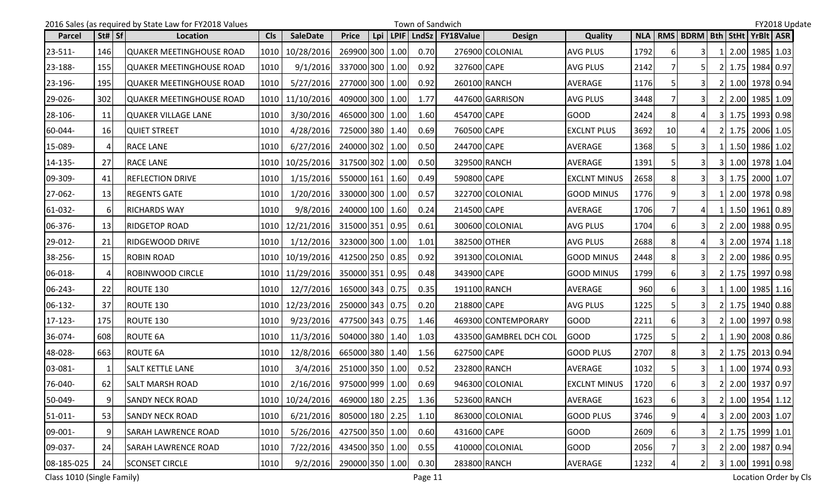|            |                | 2016 Sales (as required by State Law for FY2018 Values |            |                                |                 |     | Town of Sandwich |                          |                        |                     |      |    |                               |    |                     | FY2018 Update |
|------------|----------------|--------------------------------------------------------|------------|--------------------------------|-----------------|-----|------------------|--------------------------|------------------------|---------------------|------|----|-------------------------------|----|---------------------|---------------|
| Parcel     | St#   Sf       | Location                                               | <b>Cls</b> | <b>SaleDate</b>                | <b>Price</b>    | Lpi |                  | LPIF   LndSz   FY18Value | <b>Design</b>          | <b>Quality</b>      |      |    | NLA   RMS   BDRM   Bth   StHt |    | YrBlt ASR           |               |
| 23-511-    | 146            | <b>QUAKER MEETINGHOUSE ROAD</b>                        |            | 1010 10/28/2016                | 269900 300 1.00 |     | 0.70             |                          | 276900 COLONIAL        | <b>AVG PLUS</b>     | 1792 | 6  | 3                             |    | 2.00 1985 1.03      |               |
| 23-188-    | 155            | <b>QUAKER MEETINGHOUSE ROAD</b>                        | 1010       | 9/1/2016                       | 337000 300 1.00 |     | 0.92             | 327600 CAPE              |                        | <b>AVG PLUS</b>     | 2142 |    | 51                            |    | 2 1.75 1984 0.97    |               |
| 23-196-    | 195            | <b>JQUAKER MEETINGHOUSE ROAD</b>                       | 1010       | 5/27/2016                      | 277000 300 1.00 |     | 0.92             |                          | 260100 RANCH           | AVERAGE             | 1176 |    |                               |    | 2 1.00 1978 0.94    |               |
| 29-026-    | 302            | <b>QUAKER MEETINGHOUSE ROAD</b>                        |            | 1010 11/10/2016                | 409000 300 1.00 |     | 1.77             |                          | 447600 GARRISON        | <b>AVG PLUS</b>     | 3448 |    |                               |    | 2.00 1985 1.09      |               |
| 28-106-    | 11             | <b>QUAKER VILLAGE LANE</b>                             | 1010       | 3/30/2016                      | 465000 300 1.00 |     | 1.60             | 454700 CAPE              |                        | <b>GOOD</b>         | 2424 | 8  |                               |    | 3 1.75 1993 0.98    |               |
| 60-044-    | 16             | <b>QUIET STREET</b>                                    | 1010       | 4/28/2016                      | 725000 380 1.40 |     | 0.69             | 760500 CAPE              |                        | <b>EXCLNT PLUS</b>  | 3692 | 10 |                               |    | 2 1.75 2006 1.05    |               |
| 15-089-    | 4              | <b>RACE LANE</b>                                       | 1010       | 6/27/2016                      | 240000 302 1.00 |     | 0.50             | 244700 CAPE              |                        | AVERAGE             | 1368 |    |                               |    | 1 1.50 1986 1.02    |               |
| 14-135-    | 27             | RACE LANE                                              |            | 1010   10/25/2016              | 317500 302 1.00 |     | 0.50             |                          | 329500 RANCH           | AVERAGE             | 1391 |    |                               |    | 3 1.00 1978 1.04    |               |
| 09-309-    | 41             | <b>REFLECTION DRIVE</b>                                | 1010       | 1/15/2016                      | 550000 161 1.60 |     | 0.49             | 590800 CAPE              |                        | <b>EXCLNT MINUS</b> | 2658 |    | 3I                            |    | 3 1.75 2000 1.07    |               |
| 27-062-    | 13             | <b>REGENTS GATE</b>                                    | 1010       | 1/20/2016                      | 330000 300 1.00 |     | 0.57             |                          | 322700 COLONIAL        | <b>GOOD MINUS</b>   | 1776 |    | 31                            |    | 1 2.00 1978 0.98    |               |
| 61-032-    | 6              | <b>RICHARDS WAY</b>                                    | 1010       | 9/8/2016                       | 240000 100 1.60 |     | 0.24             | 214500 CAPE              |                        | AVERAGE             | 1706 |    |                               |    | 1 1.50 1961 0.89    |               |
| 06-376-    | 13             | <b>RIDGETOP ROAD</b>                                   |            | 1010   12/21/2016              | 315000 351 0.95 |     | 0.61             |                          | 300600 COLONIAL        | <b>AVG PLUS</b>     | 1704 | 61 |                               |    | 2 2.00 1988 0.95    |               |
| 29-012-    | 21             | <b>RIDGEWOOD DRIVE</b>                                 | 1010       | 1/12/2016                      | 323000 300 1.00 |     | 1.01             |                          | 382500 OTHER           | <b>AVG PLUS</b>     | 2688 |    |                               |    | 3 2.00 1974 1.18    |               |
| 38-256-    | 15             | <b>ROBIN ROAD</b>                                      |            | 1010   10/19/2016              | 412500 250 0.85 |     | 0.92             |                          | 391300 COLONIAL        | <b>GOOD MINUS</b>   | 2448 | 8  | $\overline{3}$                |    | 2 2.00 1986 0.95    |               |
| 06-018-    | $\overline{4}$ | ROBINWOOD CIRCLE                                       |            | 1010 11/29/2016                | 350000 351 0.95 |     | 0.48             | 343900 CAPE              |                        | <b>GOOD MINUS</b>   | 1799 | 6  |                               | 2I | 1.75 1997 0.98      |               |
| 06-243-    | 22             | ROUTE 130                                              | 1010       | 12/7/2016                      | 165000 343 0.75 |     | 0.35             | 191100 RANCH             |                        | AVERAGE             | 960  |    |                               |    | 1  1.00  1985  1.16 |               |
| 06-132-    | 37             | ROUTE 130                                              |            | 1010   12/23/2016              | 250000 343 0.75 |     | 0.20             | 218800 CAPE              |                        | <b>AVG PLUS</b>     | 1225 |    |                               |    | 2 1.75 1940 0.88    |               |
| 17-123-    | 175            | ROUTE 130                                              | 1010       | 9/23/2016                      | 477500 343 0.75 |     | 1.46             |                          | 469300 CONTEMPORARY    | <b>GOOD</b>         | 2211 |    | 31                            |    | 2 1.00 1997 0.98    |               |
| 36-074-    | 608            | ROUTE 6A                                               | 1010       | 11/3/2016                      | 504000 380 1.40 |     | 1.03             |                          | 433500 GAMBREL DCH COL | <b>GOOD</b>         | 1725 |    | $\overline{2}$                |    | 1 1.90 2008 0.86    |               |
| 48-028-    | 663            | <b>ROUTE 6A</b>                                        | 1010       | 12/8/2016                      | 665000 380 1.40 |     | 1.56             | 627500 CAPE              |                        | <b>GOOD PLUS</b>    | 2707 |    | 31                            |    | 2 1.75 2013 0.94    |               |
| 03-081-    |                | <b>SALT KETTLE LANE</b>                                | 1010       | 3/4/2016                       | 251000 350 1.00 |     | 0.52             |                          | 232800 RANCH           | AVERAGE             | 1032 |    | 3I                            |    | 1 1.00 1974 0.93    |               |
| 76-040-    | 62             | <b>SALT MARSH ROAD</b>                                 |            | 1010 2/16/2016 975000 999 1.00 |                 |     | 0.69             |                          | 946300 COLONIAL        | <b>EXCLNT MINUS</b> | 1720 | 61 | 3 <sup>1</sup>                |    | 2 2.00 1937 0.97    |               |
| 50-049-    | $9\,$          | <b>SANDY NECK ROAD</b>                                 |            | 1010   10/24/2016              | 469000 180 2.25 |     | 1.36             |                          | 523600 RANCH           | AVERAGE             | 1623 |    | 3 <sup>1</sup>                |    | 2 1.00 1954 1.12    |               |
| $51-011-$  | 53             | <b>SANDY NECK ROAD</b>                                 | 1010       | 6/21/2016                      | 805000 180 2.25 |     | 1.10             |                          | 863000 COLONIAL        | <b>GOOD PLUS</b>    | 3746 |    |                               |    | 3 2.00 2003 1.07    |               |
| 09-001-    | 9              | <b>SARAH LAWRENCE ROAD</b>                             | 1010       | 5/26/2016                      | 427500 350 1.00 |     | 0.60             | 431600 CAPE              |                        | <b>GOOD</b>         | 2609 |    | 31                            |    | 2 1.75 1999 1.01    |               |
| 09-037-    | 24             | <b>SARAH LAWRENCE ROAD</b>                             | 1010       | 7/22/2016                      | 434500 350 1.00 |     | 0.55             |                          | 410000 COLONIAL        | <b>GOOD</b>         | 2056 |    | 31                            |    | 2 2.00 1987 0.94    |               |
| 08-185-025 | 24             | <b>SCONSET CIRCLE</b>                                  | 1010       | 9/2/2016                       | 290000 350 1.00 |     | 0.30             |                          | 283800 RANCH           | AVERAGE             | 1232 |    | 2 <sub>l</sub>                |    | 3 1.00 1991 0.98    |               |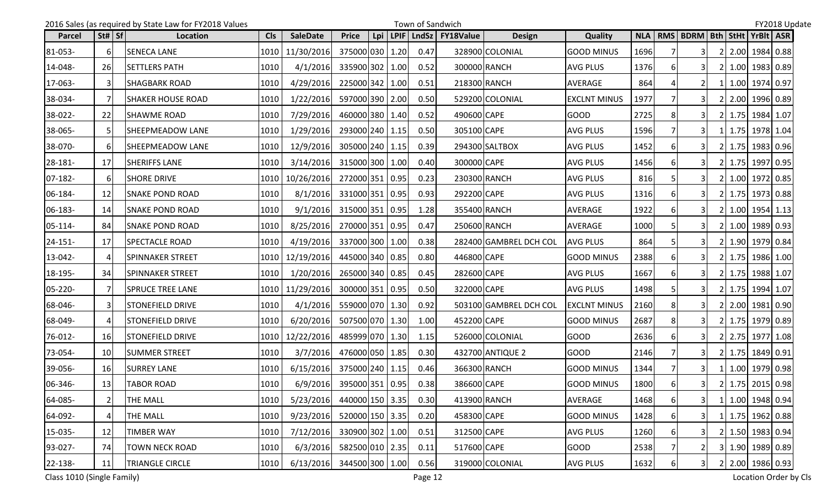|               |                                | 2016 Sales (as required by State Law for FY2018 Values |            |                            |                 |     |      | Town of Sandwich |                  |                        |                     |            |          |                                       |  |                  | FY2018 Update |
|---------------|--------------------------------|--------------------------------------------------------|------------|----------------------------|-----------------|-----|------|------------------|------------------|------------------------|---------------------|------------|----------|---------------------------------------|--|------------------|---------------|
| <b>Parcel</b> | $\left  \text{St#} \right $ Sf | Location                                               | <b>CIs</b> | <b>SaleDate</b>            | <b>Price</b>    | Lpi | LPIF | <b>LndSz</b>     | <b>FY18Value</b> | <b>Design</b>          | <b>Quality</b>      | <b>NLA</b> |          | RMS   BDRM   Bth   StHt   YrBIt   ASR |  |                  |               |
| 81-053-       | <sup>6</sup>                   | <b>SENECA LANE</b>                                     | 1010       | 11/30/2016                 | 375000 030 1.20 |     |      | 0.47             |                  | 328900 COLONIAL        | <b>GOOD MINUS</b>   | 1696       |          | 31                                    |  | 2 2.00 1984 0.88 |               |
| 14-048-       | <b>26</b>                      | <b>SETTLERS PATH</b>                                   | 1010       | 4/1/2016                   | 335900 302      |     | 1.00 | 0.52             | 300000 RANCH     |                        | <b>AVG PLUS</b>     | 1376       |          | 31                                    |  | 2 1.00 1983 0.89 |               |
| 17-063-       | $\mathbf{3}$                   | <b>SHAGBARK ROAD</b>                                   | 1010       | 4/29/2016                  | 225000 342 1.00 |     |      | 0.51             | 218300 RANCH     |                        | AVERAGE             | 864        |          | 21                                    |  | 1 1.00 1974 0.97 |               |
| 38-034-       | $\overline{7}$                 | <b>SHAKER HOUSE ROAD</b>                               | 1010       | 1/22/2016                  | 597000 390 2.00 |     |      | 0.50             |                  | 529200 COLONIAL        | <b>EXCLNT MINUS</b> | 1977       |          | 31                                    |  | 2 2.00 1996 0.89 |               |
| 38-022-       | 22                             | <b>SHAWME ROAD</b>                                     | 1010       | 7/29/2016                  | 460000 380 1.40 |     |      | 0.52             | 490600 CAPE      |                        | <b>GOOD</b>         | 2725       | 8        | 3I                                    |  | 2 1.75 1984 1.07 |               |
| 38-065-       | 5                              | SHEEPMEADOW LANE                                       | 1010       | 1/29/2016                  | 293000 240 1.15 |     |      | 0.50             | 305100 CAPE      |                        | <b>AVG PLUS</b>     | 1596       |          | 3I                                    |  | 1 1.75 1978 1.04 |               |
| 38-070-       | 6                              | SHEEPMEADOW LANE                                       | 1010       | 12/9/2016                  | 305000 240 1.15 |     |      | 0.39             |                  | 294300 SALTBOX         | <b>AVG PLUS</b>     | 1452       |          |                                       |  | 2 1.75 1983 0.96 |               |
| 28-181-       | 17                             | <b>SHERIFFS LANE</b>                                   | 1010       | 3/14/2016                  | 315000 300 1.00 |     |      | 0.40             | 300000 CAPE      |                        | <b>AVG PLUS</b>     | 1456       | 61       | 3I                                    |  | 2 1.75 1997 0.95 |               |
| $07-182-$     | 6                              | <b>SHORE DRIVE</b>                                     | 1010       | 10/26/2016                 | 272000 351 0.95 |     |      | 0.23             | 230300 RANCH     |                        | <b>AVG PLUS</b>     | 816        |          | 31                                    |  | 2 1.00 1972 0.85 |               |
| 06-184-       | 12                             | <b>SNAKE POND ROAD</b>                                 | 1010       | 8/1/2016                   | 331000 351 0.95 |     |      | 0.93             | 292200 CAPE      |                        | <b>AVG PLUS</b>     | 1316       | 61       | 31                                    |  | 2 1.75 1973 0.88 |               |
| 06-183-       | 14                             | <b>SNAKE POND ROAD</b>                                 | 1010       | 9/1/2016                   | 315000 351 0.95 |     |      | 1.28             | 355400 RANCH     |                        | AVERAGE             | 1922       |          | 3I                                    |  | 2 1.00 1954 1.13 |               |
| $05 - 114 -$  | 84                             | <b>SNAKE POND ROAD</b>                                 | 1010       | 8/25/2016                  | 270000 351 0.95 |     |      | 0.47             | 250600 RANCH     |                        | AVERAGE             | 1000       |          |                                       |  | 2 1.00 1989 0.93 |               |
| $24 - 151 -$  | 17 <sup>1</sup>                | <b>SPECTACLE ROAD</b>                                  | 1010       | 4/19/2016                  | 337000 300 1.00 |     |      | 0.38             |                  | 282400 GAMBREL DCH COL | <b>AVG PLUS</b>     | 864        |          |                                       |  | 2 1.90 1979 0.84 |               |
| 13-042-       | $\overline{4}$                 | <b>SPINNAKER STREET</b>                                | 1010       | 12/19/2016                 | 445000 340 0.85 |     |      | 0.80             | 446800 CAPE      |                        | <b>GOOD MINUS</b>   | 2388       | 61       | 3I                                    |  | 2 1.75 1986 1.00 |               |
| 18-195-       | 34                             | <b>SPINNAKER STREET</b>                                | 1010       | 1/20/2016                  | 265000 340 0.85 |     |      | 0.45             | 282600 CAPE      |                        | <b>AVG PLUS</b>     | 1667       | 61       | 31                                    |  | 2 1.75 1988 1.07 |               |
| 05-220-       | 7                              | <b>SPRUCE TREE LANE</b>                                | 1010       | 11/29/2016                 | 300000 351 0.95 |     |      | 0.50             | 322000 CAPE      |                        | <b>AVG PLUS</b>     | 1498       |          | 31                                    |  | 2 1.75 1994 1.07 |               |
| 68-046-       | $\mathbf{3}$                   | <b>STONEFIELD DRIVE</b>                                | 1010       | 4/1/2016                   | 559000 070 1.30 |     |      | 0.92             |                  | 503100 GAMBREL DCH COL | <b>EXCLNT MINUS</b> | 2160       |          |                                       |  | 2 2.00 1981 0.90 |               |
| 68-049-       | 4                              | <b>STONEFIELD DRIVE</b>                                | 1010       | 6/20/2016                  | 507500 070 1.30 |     |      | 1.00             | 452200 CAPE      |                        | <b>GOOD MINUS</b>   | 2687       |          | 31                                    |  | 2 1.75 1979 0.89 |               |
| 76-012-       | <b>16</b>                      | <b>STONEFIELD DRIVE</b>                                | 1010       | 12/22/2016                 | 485999 070 1.30 |     |      | 1.15             |                  | 526000 COLONIAL        | <b>GOOD</b>         | 2636       | 61       | 3I                                    |  | 2 2.75 1977 1.08 |               |
| 73-054-       | 10                             | <b>SUMMER STREET</b>                                   | 1010       | 3/7/2016                   | 476000 050 1.85 |     |      | 0.30             |                  | 432700 ANTIQUE 2       | <b>GOOD</b>         | 2146       |          | 3I                                    |  | 2 1.75 1849 0.91 |               |
| 39-056-       | <b>16</b>                      | <b>SURREY LANE</b>                                     | 1010       | 6/15/2016                  | 375000 240 1.15 |     |      | 0.46             | 366300 RANCH     |                        | <b>GOOD MINUS</b>   | 1344       |          | 31                                    |  | 1 1.00 1979 0.98 |               |
| 06-346-       | 13                             | <b>TABOR ROAD</b>                                      | 1010       | $6/9/2016$ 395000 351 0.95 |                 |     |      | 0.38             | 386600 CAPE      |                        | <b>GOOD MINUS</b>   | 1800       | 6I       | 3                                     |  | 2 1.75 2015 0.98 |               |
| 64-085-       | $\overline{2}$                 | THE MALL                                               | 1010       | 5/23/2016                  | 440000 150 3.35 |     |      | 0.30             | 413900 RANCH     |                        | AVERAGE             | 1468       | $6 \mid$ | 3 <sup>1</sup>                        |  | 1 1.00 1948 0.94 |               |
| 64-092-       | 4                              | THE MALL                                               | 1010       | 9/23/2016                  | 520000 150 3.35 |     |      | 0.20             | 458300 CAPE      |                        | <b>GOOD MINUS</b>   | 1428       | 6        | 31                                    |  | 1 1.75 1962 0.88 |               |
| 15-035-       | 12                             | <b>TIMBER WAY</b>                                      | 1010       | 7/12/2016                  | 330900 302 1.00 |     |      | 0.51             | 312500 CAPE      |                        | AVG PLUS            | 1260       |          | 31                                    |  | 2 1.50 1983 0.94 |               |
| 93-027-       | 74                             | <b>TOWN NECK ROAD</b>                                  | 1010       | 6/3/2016                   | 582500 010 2.35 |     |      | 0.11             | 517600 CAPE      |                        | GOOD                | 2538       |          | 2 <sub>1</sub>                        |  | 3 1.90 1989 0.89 |               |
| 22-138-       | 11                             | <b>TRIANGLE CIRCLE</b>                                 | 1010       | 6/13/2016                  | 344500 300 1.00 |     |      | 0.56             |                  | 319000 COLONIAL        | <b>AVG PLUS</b>     | 1632       | 61       | 31                                    |  | 2 2.00 1986 0.93 |               |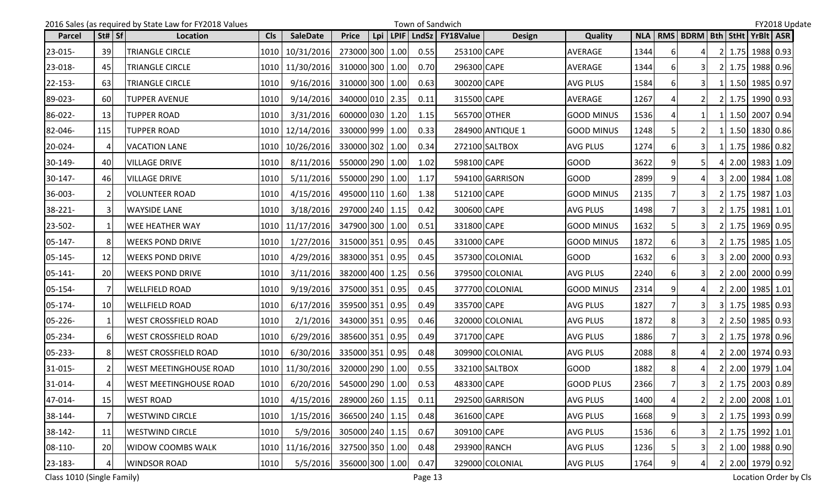|               |                 | 2016 Sales (as required by State Law for FY2018 Values |            |                 |                 |     | Town of Sandwich |            | FY2018 Update    |                  |                   |      |    |                               |  |  |                  |  |
|---------------|-----------------|--------------------------------------------------------|------------|-----------------|-----------------|-----|------------------|------------|------------------|------------------|-------------------|------|----|-------------------------------|--|--|------------------|--|
| <b>Parcel</b> | $St#$ Sf        | Location                                               | <b>Cls</b> | <b>SaleDate</b> | <b>Price</b>    | Lpi |                  | LPIF LndSz | <b>FY18Value</b> | <b>Design</b>    | Quality           |      |    | NLA   RMS   BDRM   Bth   StHt |  |  | YrBlt ASR        |  |
| 23-015-       | 39              | <b>TRIANGLE CIRCLE</b>                                 | 1010       | 10/31/2016      | 273000 300 1.00 |     |                  | 0.55       | 253100 CAPE      |                  | AVERAGE           | 1344 | 61 | 41                            |  |  | 2 1.75 1988 0.93 |  |
| 23-018-       | 45              | TRIANGLE CIRCLE                                        | 1010       | 11/30/2016      | 310000 300      |     | 1.00             | 0.70       | 296300 CAPE      |                  | <b>AVERAGE</b>    | 1344 |    | 3I                            |  |  | 2 1.75 1988 0.96 |  |
| 22-153-       | 63              | TRIANGLE CIRCLE                                        | 1010       | 9/16/2016       | 310000 300 1.00 |     |                  | 0.63       | 300200 CAPE      |                  | <b>AVG PLUS</b>   | 1584 | 6  | 3I                            |  |  | 1 1.50 1985 0.97 |  |
| 89-023-       | <b>60</b>       | <b>TUPPER AVENUE</b>                                   | 1010       | 9/14/2016       | 340000 010 2.35 |     |                  | 0.11       | 315500 CAPE      |                  | AVERAGE           | 1267 |    |                               |  |  | 2 1.75 1990 0.93 |  |
| 86-022-       | 13              | <b>TUPPER ROAD</b>                                     | 1010       | 3/31/2016       | 600000 030 1.20 |     |                  | 1.15       |                  | 565700 OTHER     | <b>GOOD MINUS</b> | 1536 |    | 1I                            |  |  | 1 1.50 2007 0.94 |  |
| 82-046-       | 115             | TUPPER ROAD                                            | 1010       | 12/14/2016      | 330000 999 1.00 |     |                  | 0.33       |                  | 284900 ANTIQUE 1 | <b>GOOD MINUS</b> | 1248 |    | 2 <sub>1</sub>                |  |  | 1 1.50 1830 0.86 |  |
| 20-024-       | 4               | <b>VACATION LANE</b>                                   | 1010       | 10/26/2016      | 330000 302 1.00 |     |                  | 0.34       |                  | 272100 SALTBOX   | <b>AVG PLUS</b>   | 1274 |    | 3I                            |  |  | 1 1.75 1986 0.82 |  |
| 30-149-       | 40              | <b>VILLAGE DRIVE</b>                                   | 1010       | 8/11/2016       | 550000 290 1.00 |     |                  | 1.02       | 598100 CAPE      |                  | <b>GOOD</b>       | 3622 |    |                               |  |  | 4 2.00 1983 1.09 |  |
| $30-147-$     | 46              | <b>VILLAGE DRIVE</b>                                   | 1010       | 5/11/2016       | 550000 290 1.00 |     |                  | 1.17       |                  | 594100 GARRISON  | <b>GOOD</b>       | 2899 |    | 4                             |  |  | 3 2.00 1984 1.08 |  |
| 36-003-       | $\overline{2}$  | <b>VOLUNTEER ROAD</b>                                  | 1010       | 4/15/2016       | 495000 110 1.60 |     |                  | 1.38       | 512100 CAPE      |                  | <b>GOOD MINUS</b> | 2135 |    | 31                            |  |  | 2 1.75 1987 1.03 |  |
| 38-221-       | $\mathbf{3}$    | <b>WAYSIDE LANE</b>                                    | 1010       | 3/18/2016       | 297000 240 1.15 |     |                  | 0.42       | 300600 CAPE      |                  | AVG PLUS          | 1498 |    | 3I                            |  |  | 2 1.75 1981 1.01 |  |
| 23-502-       | 1               | <b>WEE HEATHER WAY</b>                                 | 1010       | 11/17/2016      | 347900 300 1.00 |     |                  | 0.51       | 331800 CAPE      |                  | <b>GOOD MINUS</b> | 1632 |    | 3I                            |  |  | 2 1.75 1969 0.95 |  |
| $05 - 147 -$  | 8               | <b>WEEKS POND DRIVE</b>                                | 1010       | 1/27/2016       | 315000 351 0.95 |     |                  | 0.45       | 331000 CAPE      |                  | <b>GOOD MINUS</b> | 1872 | 6I |                               |  |  | 2 1.75 1985 1.05 |  |
| 05-145-       | 12              | <b>WEEKS POND DRIVE</b>                                | 1010       | 4/29/2016       | 383000 351 0.95 |     |                  | 0.45       |                  | 357300 COLONIAL  | <b>GOOD</b>       | 1632 | 61 | 3 <sup>1</sup>                |  |  | 3 2.00 2000 0.93 |  |
| $05 - 141 -$  | 20              | <b>WEEKS POND DRIVE</b>                                | 1010       | 3/11/2016       | 382000 400 1.25 |     |                  | 0.56       |                  | 379500 COLONIAL  | <b>AVG PLUS</b>   | 2240 | 61 | 31                            |  |  | 2 2.00 2000 0.99 |  |
| 05-154-       | 7               | <b>WELLFIELD ROAD</b>                                  | 1010       | 9/19/2016       | 375000 351 0.95 |     |                  | 0.45       |                  | 377700 COLONIAL  | <b>GOOD MINUS</b> | 2314 |    |                               |  |  | 2 2.00 1985 1.01 |  |
| 05-174-       | 10 <sup>1</sup> | <b>WELLFIELD ROAD</b>                                  | 1010       | 6/17/2016       | 359500 351 0.95 |     |                  | 0.49       | 335700 CAPE      |                  | <b>AVG PLUS</b>   | 1827 |    |                               |  |  | 3 1.75 1985 0.93 |  |
| 05-226-       | $\mathbf{1}$    | <b>WEST CROSSFIELD ROAD</b>                            | 1010       | 2/1/2016        | 343000 351 0.95 |     |                  | 0.46       |                  | 320000 COLONIAL  | <b>AVG PLUS</b>   | 1872 |    | 3I                            |  |  | 2 2.50 1985 0.93 |  |
| 05-234-       | 6               | <b>WEST CROSSFIELD ROAD</b>                            | 1010       | 6/29/2016       | 385600 351 0.95 |     |                  | 0.49       | 371700 CAPE      |                  | <b>AVG PLUS</b>   | 1886 |    | 3I                            |  |  | 2 1.75 1978 0.96 |  |
| 05-233-       | 8               | <b>WEST CROSSFIELD ROAD</b>                            | 1010       | 6/30/2016       | 335000 351 0.95 |     |                  | 0.48       |                  | 309900 COLONIAL  | <b>AVG PLUS</b>   | 2088 | 8  | 41                            |  |  | 2 2.00 1974 0.93 |  |
| 31-015-       | 2               | <b>WEST MEETINGHOUSE ROAD</b>                          | 1010       | 11/30/2016      | 320000 290 1.00 |     |                  | 0.55       |                  | 332100 SALTBOX   | <b>GOOD</b>       | 1882 |    |                               |  |  | 2 2.00 1979 1.04 |  |
| 31-014-       | $\Delta$        | <b>WEST MEETINGHOUSE ROAD</b>                          |            | 1010 6/20/2016  | 545000 290 1.00 |     |                  | 0.53       | 483300 CAPE      |                  | <b>GOOD PLUS</b>  | 2366 |    | 3                             |  |  | 2 1.75 2003 0.89 |  |
| 47-014-       | 15              | <b>WEST ROAD</b>                                       | 1010       | 4/15/2016       | 289000 260 1.15 |     |                  | 0.11       |                  | 292500 GARRISON  | <b>AVG PLUS</b>   | 1400 |    | $\overline{2}$                |  |  | 2 2.00 2008 1.01 |  |
| 38-144-       | 7               | <b>WESTWIND CIRCLE</b>                                 | 1010       | 1/15/2016       | 366500 240 1.15 |     |                  | 0.48       | 361600 CAPE      |                  | <b>AVG PLUS</b>   | 1668 |    | 31                            |  |  | 2 1.75 1993 0.99 |  |
| 38-142-       | 11              | <b>WESTWIND CIRCLE</b>                                 | 1010       | 5/9/2016        | 305000 240 1.15 |     |                  | 0.67       | 309100 CAPE      |                  | AVG PLUS          | 1536 | 6  | 31                            |  |  | 2 1.75 1992 1.01 |  |
| 08-110-       | 20              | <b>WIDOW COOMBS WALK</b>                               | 1010       | 11/16/2016      | 327500 350 1.00 |     |                  | 0.48       |                  | 293900 RANCH     | <b>AVG PLUS</b>   | 1236 |    |                               |  |  | 2 1.00 1988 0.90 |  |
| 23-183-       | $\overline{4}$  | <b>WINDSOR ROAD</b>                                    | 1010       | 5/5/2016        | 356000 300 1.00 |     |                  | 0.47       |                  | 329000 COLONIAL  | <b>AVG PLUS</b>   | 1764 |    | 41                            |  |  | 2 2.00 1979 0.92 |  |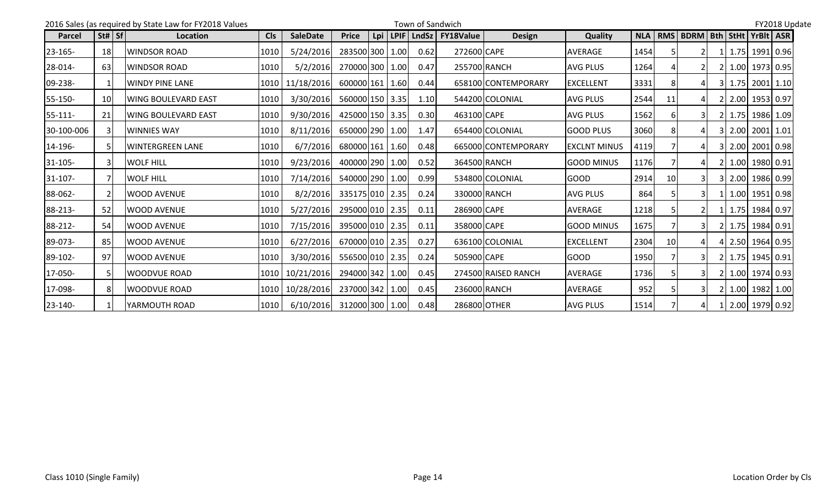|               |                | 2016 Sales (as required by State Law for FY2018 Values |            |                   | FY2018 Update   |            |      |              |                  |                     |                     |            |    |                                       |    |             |                  |  |  |
|---------------|----------------|--------------------------------------------------------|------------|-------------------|-----------------|------------|------|--------------|------------------|---------------------|---------------------|------------|----|---------------------------------------|----|-------------|------------------|--|--|
| <b>Parcel</b> | St#   Sf       | Location                                               | <b>Cls</b> | <b>SaleDate</b>   | <b>Price</b>    | <b>Lpi</b> | LPIF | <b>LndSz</b> | <b>FY18Value</b> | <b>Design</b>       | Quality             | <b>NLA</b> |    | RMS   BDRM   Bth   StHt   YrBIt   ASR |    |             |                  |  |  |
| $23 - 165 -$  | 18             | <b>WINDSOR ROAD</b>                                    | 1010       | 5/24/2016         | 283500 300 1.00 |            |      | 0.62         | 272600 CAPE      |                     | <b>AVERAGE</b>      | 1454       |    |                                       |    |             | 1 1.75 1991 0.96 |  |  |
| 28-014-       | 63             | <b>IWINDSOR ROAD</b>                                   | 1010       | 5/2/2016          | 270000 300 1.00 |            |      | 0.47         |                  | 255700 RANCH        | <b>AVG PLUS</b>     | 1264       |    | $\overline{2}$                        |    |             | 2 1.00 1973 0.95 |  |  |
| 09-238-       |                | WINDY PINE LANE                                        |            | 1010 11/18/2016   | 600000 161 1.60 |            |      | 0.44         |                  | 658100 CONTEMPORARY | <b>EXCELLENT</b>    | 3331       |    |                                       |    | 3 1.75      | $2001$ 1.10      |  |  |
| 55-150-       | 10             | IWING BOULEVARD EAST                                   | 1010       | 3/30/2016         | 560000 150 3.35 |            |      | 1.10         |                  | 544200 COLONIAL     | <b>AVG PLUS</b>     | 2544       | 11 |                                       |    |             | 2 2.00 1953 0.97 |  |  |
| 55-111-       | 21             | IWING BOULEVARD EAST                                   | 1010       | 9/30/2016         | 425000 150 3.35 |            |      | 0.30         | 463100 CAPE      |                     | <b>AVG PLUS</b>     | 1562       |    |                                       |    | $2$   1.75  | $1986$ 1.09      |  |  |
| 30-100-006    |                | <b>WINNIES WAY</b>                                     | 1010       | 8/11/2016         | 650000 290 1.00 |            |      | 1.47         |                  | 654400 COLONIAL     | <b>GOOD PLUS</b>    | 3060       |    |                                       |    | $3 \, 2.00$ | 2001 1.01        |  |  |
| 14-196-       | 5              | <b>WINTERGREEN LANE</b>                                | 1010       | 6/7/2016          | 680000 161 1.60 |            |      | 0.48         |                  | 665000 CONTEMPORARY | <b>EXCLNT MINUS</b> | 4119       |    |                                       | 3I | 2.00        | 2001 0.98        |  |  |
| $31 - 105 -$  | 3              | <b>WOLF HILL</b>                                       | 1010       | 9/23/2016         | 400000 290 1.00 |            |      | 0.52         |                  | 364500 RANCH        | <b>GOOD MINUS</b>   | 1176       |    |                                       |    |             | 2 1.00 1980 0.91 |  |  |
| 31-107-       | 7              | <b>WOLF HILL</b>                                       | 1010       | 7/14/2016         | 540000 290 1.00 |            |      | 0.99         |                  | 534800 COLONIAL     | <b>IGOOD</b>        | 2914       | 10 |                                       |    |             | 3 2.00 1986 0.99 |  |  |
| 88-062-       | $\overline{2}$ | IWOOD AVENUE                                           | 1010       | 8/2/2016          | 335175 010 2.35 |            |      | 0.24         |                  | 330000 RANCH        | <b>AVG PLUS</b>     | 864        |    |                                       |    |             | 1.00 1951 0.98   |  |  |
| 88-213-       | 52             | IWOOD AVENUE                                           | 1010       | 5/27/2016         | 295000 010 2.35 |            |      | 0.11         | 286900 CAPE      |                     | AVERAGE             | 1218       |    |                                       |    |             | 1.75 1984 0.97   |  |  |
| 88-212-       | 54             | IWOOD AVENUE                                           | 1010       | 7/15/2016         | 395000 010 2.35 |            |      | 0.11         | 358000 CAPE      |                     | <b>GOOD MINUS</b>   | 1675       |    |                                       | 2I |             | 1.75 1984 0.91   |  |  |
| 89-073-       | 85             | <b>WOOD AVENUE</b>                                     | 1010       | 6/27/2016         | 670000 010 2.35 |            |      | 0.27         |                  | 636100 COLONIAL     | <b>EXCELLENT</b>    | 2304       | 10 |                                       |    |             | 4 2.50 1964 0.95 |  |  |
| 89-102-       | 97             | <b>WOOD AVENUE</b>                                     | 1010       | 3/30/2016         | 556500 010 2.35 |            |      | 0.24         | 505900 CAPE      |                     | <b>GOOD</b>         | 1950       |    |                                       | 2I |             | 1.75 1945 0.91   |  |  |
| 17-050-       | 5              | <b>WOODVUE ROAD</b>                                    |            | 1010 10/21/2016   | 294000 342 1.00 |            |      | 0.45         |                  | 274500 RAISED RANCH | AVERAGE             | 1736       |    |                                       |    |             | 1.00 1974 0.93   |  |  |
| 17-098-       | 8              | <b>WOODVUE ROAD</b>                                    |            | 1010   10/28/2016 | 237000 342 1.00 |            |      | 0.45         |                  | 236000 RANCH        | <b>AVERAGE</b>      | 952        |    |                                       | 2I |             | 1.00 1982 1.00   |  |  |
| 23-140-       |                | <b>YARMOUTH ROAD</b>                                   | 1010       | 6/10/2016         | 312000 300 1.00 |            |      | 0.48         |                  | 286800 OTHER        | <b>AVG PLUS</b>     | 1514       |    | $\mathbf{4}$                          |    |             | 1 2.00 1979 0.92 |  |  |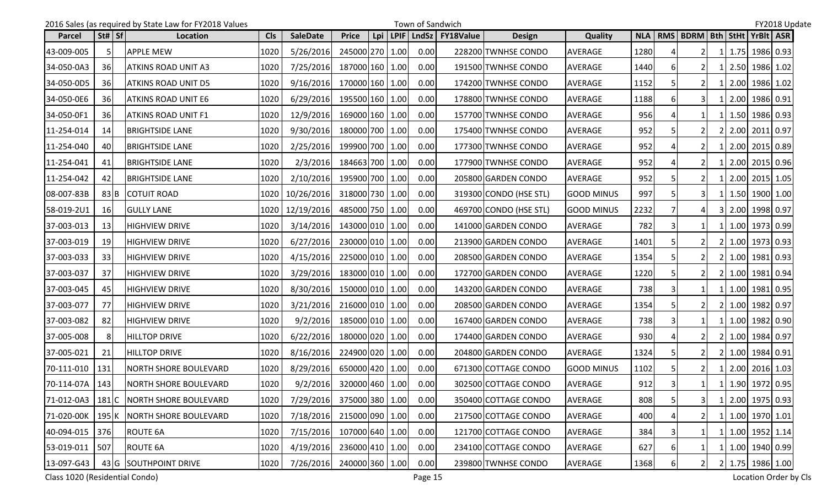|                    |                                | 2016 Sales (as required by State Law for FY2018 Values | Town of Sandwich |                            |                 |     |  |      |                          |                        |                   |      |              | FY2018 Update                 |  |  |                  |  |  |  |  |  |
|--------------------|--------------------------------|--------------------------------------------------------|------------------|----------------------------|-----------------|-----|--|------|--------------------------|------------------------|-------------------|------|--------------|-------------------------------|--|--|------------------|--|--|--|--|--|
| Parcel             | $\vert$ St# $\vert$ Sf $\vert$ | Location                                               | <b>Cls</b>       | <b>SaleDate</b>            | <b>Price</b>    | Lpi |  |      | LPIF   LndSz   FY18Value | <b>Design</b>          | Quality           |      |              | NLA   RMS   BDRM   Bth   StHt |  |  | YrBlt ASR        |  |  |  |  |  |
| 43-009-005         | 5                              | <b>APPLE MEW</b>                                       | 1020             | 5/26/2016                  | 245000 270 1.00 |     |  | 0.00 |                          | 228200 TWNHSE CONDO    | <b>AVERAGE</b>    | 1280 |              | $\overline{2}$                |  |  | 1.75 1986 0.93   |  |  |  |  |  |
| 34-050-0A3         | 36                             | <b>ATKINS ROAD UNIT A3</b>                             | 1020             | 7/25/2016                  | 187000 160 1.00 |     |  | 0.00 |                          | 191500 TWNHSE CONDO    | AVERAGE           | 1440 |              |                               |  |  | 1 2.50 1986 1.02 |  |  |  |  |  |
| 34-050-0D5         | 36                             | ATKINS ROAD UNIT D5                                    | 1020             | 9/16/2016                  | 170000 160 1.00 |     |  | 0.00 |                          | 174200 TWNHSE CONDO    | <b>AVERAGE</b>    | 1152 |              | <b>21</b>                     |  |  | 1 2.00 1986 1.02 |  |  |  |  |  |
| 34-050-0E6         | 36                             | <b>ATKINS ROAD UNIT E6</b>                             | 1020             | 6/29/2016                  | 195500 160 1.00 |     |  | 0.00 |                          | 178800 TWNHSE CONDO    | AVERAGE           | 1188 |              | 3I                            |  |  | 2.00 1986 0.91   |  |  |  |  |  |
| 34-050-0F1         | 36                             | <b>ATKINS ROAD UNIT F1</b>                             | 1020             | 12/9/2016                  | 169000 160 1.00 |     |  | 0.00 |                          | 157700 TWNHSE CONDO    | AVERAGE           | 956  |              |                               |  |  | 1 1.50 1986 0.93 |  |  |  |  |  |
| 11-254-014         | 14                             | <b>BRIGHTSIDE LANE</b>                                 | 1020             | 9/30/2016                  | 180000 700 1.00 |     |  | 0.00 |                          | 175400 TWNHSE CONDO    | AVERAGE           | 952  |              |                               |  |  | 2 2.00 2011 0.97 |  |  |  |  |  |
| 11-254-040         | 40                             | <b>BRIGHTSIDE LANE</b>                                 | 1020             | 2/25/2016                  | 199900 700 1.00 |     |  | 0.00 |                          | 177300 TWNHSE CONDO    | <b>AVERAGE</b>    | 952  |              |                               |  |  | 1 2.00 2015 0.89 |  |  |  |  |  |
| 11-254-041         | 41                             | <b>BRIGHTSIDE LANE</b>                                 | 1020             | 2/3/2016                   | 184663 700 1.00 |     |  | 0.00 |                          | 177900 TWNHSE CONDO    | AVERAGE           | 952  |              |                               |  |  | 1 2.00 2015 0.96 |  |  |  |  |  |
| 11-254-042         | 42                             | <b>BRIGHTSIDE LANE</b>                                 | 1020             | 2/10/2016                  | 195900 700 1.00 |     |  | 0.00 |                          | 205800 GARDEN CONDO    | AVERAGE           | 952  |              | 21                            |  |  | 1 2.00 2015 1.05 |  |  |  |  |  |
| 08-007-83B         | 83 B                           | <b>COTUIT ROAD</b>                                     | 1020             | 10/26/2016                 | 318000 730 1.00 |     |  | 0.00 |                          | 319300 CONDO (HSE STL) | <b>GOOD MINUS</b> | 997  |              | 31                            |  |  | 1 1.50 1900 1.00 |  |  |  |  |  |
| 58-019-2U1         | 16                             | <b>GULLY LANE</b>                                      |                  | 1020   12/19/2016          | 485000 750 1.00 |     |  | 0.00 |                          | 469700 CONDO (HSE STL) | <b>GOOD MINUS</b> | 2232 |              |                               |  |  | 3 2.00 1998 0.97 |  |  |  |  |  |
| 37-003-013         | 13                             | <b>HIGHVIEW DRIVE</b>                                  | 1020             | 3/14/2016                  | 143000 010 1.00 |     |  | 0.00 |                          | 141000 GARDEN CONDO    | <b>AVERAGE</b>    | 782  |              |                               |  |  | 1 1.00 1973 0.99 |  |  |  |  |  |
| 37-003-019         | 19                             | <b>HIGHVIEW DRIVE</b>                                  | 1020             | 6/27/2016                  | 230000 010 1.00 |     |  | 0.00 |                          | 213900 GARDEN CONDO    | AVERAGE           | 1401 |              |                               |  |  | 2 1.00 1973 0.93 |  |  |  |  |  |
| 37-003-033         | 33                             | <b>HIGHVIEW DRIVE</b>                                  | 1020             | 4/15/2016                  | 225000 010 1.00 |     |  | 0.00 |                          | 208500 GARDEN CONDO    | <b>AVERAGE</b>    | 1354 |              | 2I                            |  |  | 2 1.00 1981 0.93 |  |  |  |  |  |
| 37-003-037         | 37                             | <b>HIGHVIEW DRIVE</b>                                  | 1020             | 3/29/2016                  | 183000 010 1.00 |     |  | 0.00 |                          | 172700 GARDEN CONDO    | <b>AVERAGE</b>    | 1220 |              |                               |  |  | 2 1.00 1981 0.94 |  |  |  |  |  |
| 37-003-045         | 45                             | <b>HIGHVIEW DRIVE</b>                                  | 1020             | 8/30/2016                  | 150000 010 1.00 |     |  | 0.00 |                          | 143200 GARDEN CONDO    | AVERAGE           | 738  |              |                               |  |  | 1 1.00 1981 0.95 |  |  |  |  |  |
| 37-003-077         | 77                             | <b>HIGHVIEW DRIVE</b>                                  | 1020             | 3/21/2016                  | 216000 010 1.00 |     |  | 0.00 |                          | 208500 GARDEN CONDO    | AVERAGE           | 1354 |              | <b>21</b>                     |  |  | 2 1.00 1982 0.97 |  |  |  |  |  |
| 37-003-082         | 82                             | <b>HIGHVIEW DRIVE</b>                                  | 1020             | 9/2/2016                   | 185000 010 1.00 |     |  | 0.00 |                          | 167400 GARDEN CONDO    | AVERAGE           | 738  |              | $\vert$ 1                     |  |  | 1 1.00 1982 0.90 |  |  |  |  |  |
| 37-005-008         | 8                              | <b>HILLTOP DRIVE</b>                                   | 1020             | 6/22/2016                  | 180000 020 1.00 |     |  | 0.00 |                          | 174400 GARDEN CONDO    | <b>AVERAGE</b>    | 930  |              | $\overline{2}$                |  |  | 2 1.00 1984 0.97 |  |  |  |  |  |
| 37-005-021         | 21                             | <b>HILLTOP DRIVE</b>                                   | 1020             | 8/16/2016                  | 224900 020 1.00 |     |  | 0.00 |                          | 204800 GARDEN CONDO    | AVERAGE           | 1324 |              |                               |  |  | 2 1.00 1984 0.91 |  |  |  |  |  |
| 70-111-010         | 131                            | <b>NORTH SHORE BOULEVARD</b>                           | 1020             | 8/29/2016                  | 650000 420 1.00 |     |  | 0.00 |                          | 671300 COTTAGE CONDO   | GOOD MINUS        | 1102 |              | <b>21</b>                     |  |  | 1 2.00 2016 1.03 |  |  |  |  |  |
| 70-114-07A 143     |                                | NORTH SHORE BOULEVARD                                  | 1020             | $9/2/2016$ 320000 460 1.00 |                 |     |  | 0.00 |                          | 302500 COTTAGE CONDO   | AVERAGE           | 912  | $\mathbf{R}$ | $1\vert$                      |  |  | 1 1.90 1972 0.95 |  |  |  |  |  |
| 71-012-0A3   181 C |                                | NORTH SHORE BOULEVARD                                  | 1020             | 7/29/2016                  | 375000 380 1.00 |     |  | 0.00 |                          | 350400 COTTAGE CONDO   | AVERAGE           | 808  |              | $\overline{\mathbf{3}}$       |  |  | 1 2.00 1975 0.93 |  |  |  |  |  |
|                    |                                | 71-020-00K   195 K   NORTH SHORE BOULEVARD             | 1020             | 7/18/2016                  | 215000 090 1.00 |     |  | 0.00 |                          | 217500 COTTAGE CONDO   | AVERAGE           | 400  |              |                               |  |  | 1 1.00 1970 1.01 |  |  |  |  |  |
| 40-094-015 376     |                                | <b>ROUTE 6A</b>                                        | 1020             | 7/15/2016                  | 107000 640 1.00 |     |  | 0.00 |                          | 121700 COTTAGE CONDO   | AVERAGE           | 384  |              | 1                             |  |  | 1 1.00 1952 1.14 |  |  |  |  |  |
| 53-019-011         | 507                            | <b>ROUTE 6A</b>                                        | 1020             | 4/19/2016                  | 236000 410 1.00 |     |  | 0.00 |                          | 234100 COTTAGE CONDO   | AVERAGE           | 627  | 6            |                               |  |  | 1 1.00 1940 0.99 |  |  |  |  |  |
| 13-097-G43         |                                | 43 G SOUTHPOINT DRIVE                                  | 1020             | 7/26/2016                  | 240000 360 1.00 |     |  | 0.00 |                          | 239800 TWNHSE CONDO    | AVERAGE           | 1368 |              | $\overline{2}$                |  |  | 2 1.75 1986 1.00 |  |  |  |  |  |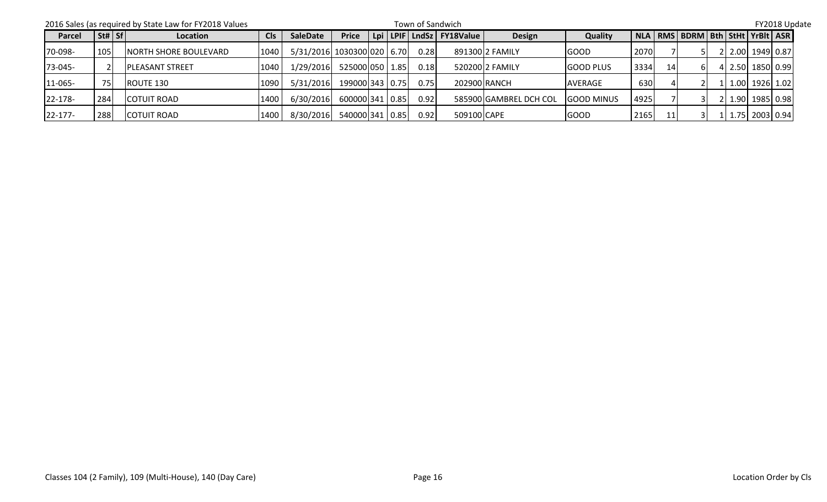|         |          | 2016 Sales (as required by State Law for FY2018 Values |            |                            |                 |  | FY2018 Update |                          |                        |                   |      |    |                                             |  |                  |  |  |
|---------|----------|--------------------------------------------------------|------------|----------------------------|-----------------|--|---------------|--------------------------|------------------------|-------------------|------|----|---------------------------------------------|--|------------------|--|--|
| Parcel  | St#   Sf | Location                                               | <b>Cls</b> | <b>SaleDate</b>            | <b>Price</b>    |  |               | Lpi LPIF LndSz FY18Value | <b>Design</b>          | Quality           |      |    | NLA   RMS   BDRM   Bth   StHt   YrBIt   ASR |  |                  |  |  |
| 70-098- | 105      | <b>NORTH SHORE BOULEVARD</b>                           | 1040       | 5/31/2016 1030300 020 6.70 |                 |  | 0.28          |                          | 891300 2 FAMILY        | <b>GOOD</b>       | 2070 |    |                                             |  | 2 2.00 1949 0.87 |  |  |
| 73-045- |          | <b>PLEASANT STREET</b>                                 | 1040       | 1/29/2016                  | 525000 050 1.85 |  | 0.18          |                          | 520200 2 FAMILY        | <b>GOOD PLUS</b>  | 3334 | 14 | ы                                           |  | 4 2.50 1850 0.99 |  |  |
| 11-065- | 75       | ROUTE 130                                              | 1090       | 5/31/2016                  | 199000 343 0.75 |  | 0.75          | 202900 RANCH             |                        | <b>AVERAGE</b>    | 630  |    |                                             |  | 1 1.00 1926 1.02 |  |  |
| 22-178- | 284      | <b>COTUIT ROAD</b>                                     | 1400       | 6/30/2016                  | 600000 341 0.85 |  | 0.92          |                          | 585900 GAMBREL DCH COL | <b>GOOD MINUS</b> | 4925 |    |                                             |  | 1.90 1985 0.98   |  |  |
| 22-177- | 288      | <b>COTUIT ROAD</b>                                     | 1400       | 8/30/2016                  | 540000 341 0.85 |  | 0.92          | 509100 CAPE              |                        | <b>GOOD</b>       | 2165 | 11 |                                             |  | 1.75 2003 0.94   |  |  |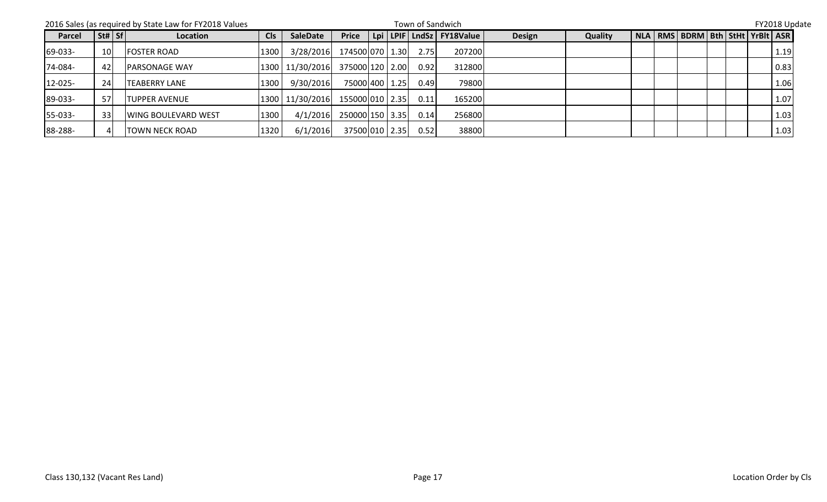|         |                 | 2016 Sales (as required by State Law for FY2018 Values |                 | FY2018 Update   |                 |  |      |                          |               |         |  |  |                                             |  |  |  |      |  |
|---------|-----------------|--------------------------------------------------------|-----------------|-----------------|-----------------|--|------|--------------------------|---------------|---------|--|--|---------------------------------------------|--|--|--|------|--|
| Parcel  | St#   Sf        | Location                                               | C <sub>ls</sub> | <b>SaleDate</b> | <b>Price</b>    |  |      | Lpi LPIF LndSz FY18Value | <b>Design</b> | Quality |  |  | NLA   RMS   BDRM   Bth   StHt   YrBIt   ASR |  |  |  |      |  |
| 69-033- | 10 <sup>1</sup> | <b>FOSTER ROAD</b>                                     | 1300            | 3/28/2016       | 174500 070 1.30 |  | 2.75 | 207200                   |               |         |  |  |                                             |  |  |  | 1.19 |  |
| 74-084- | 42              | <b>PARSONAGE WAY</b>                                   |                 | 1300 11/30/2016 | 375000 120 2.00 |  | 0.92 | 312800                   |               |         |  |  |                                             |  |  |  | 0.83 |  |
| 12-025- | 24              | <b>TEABERRY LANE</b>                                   | 1300            | 9/30/2016       | 75000 400 1.25  |  | 0.49 | 79800                    |               |         |  |  |                                             |  |  |  | 1.06 |  |
| 89-033- | 57              | <b>TUPPER AVENUE</b>                                   |                 | 1300 11/30/2016 | 155000 010 2.35 |  | 0.11 | 165200                   |               |         |  |  |                                             |  |  |  | 1.07 |  |
| 55-033- | 33              | <b>WING BOULEVARD WEST</b>                             | 1300            | 4/1/2016        | 250000 150 3.35 |  | 0.14 | 256800                   |               |         |  |  |                                             |  |  |  | 1.03 |  |
| 88-288- | 4               | <b>TOWN NECK ROAD</b>                                  | 1320            | 6/1/2016        | 37500 010 2.35  |  | 0.52 | 38800                    |               |         |  |  |                                             |  |  |  | 1.03 |  |